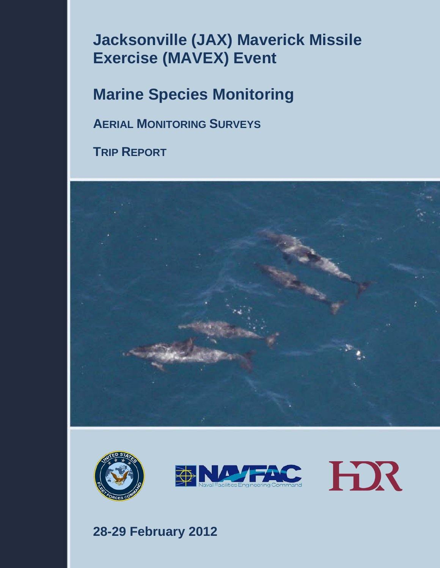# **Jacksonville (JAX) Maverick Missile Exercise (MAVEX) Event**

# **Marine Species Monitoring**

**AERIAL MONITORING SURVEYS**

**TRIP REPORT**





### **28-29 February 2012**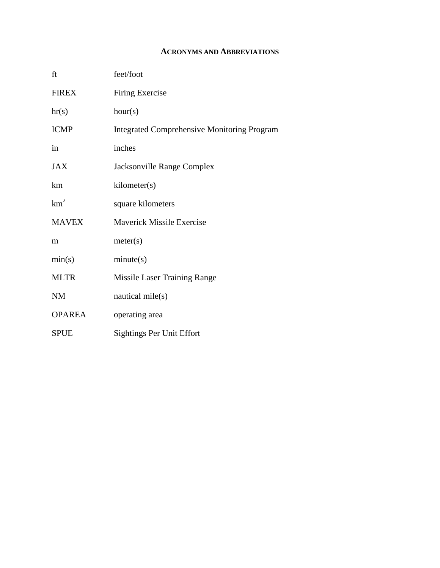#### **ACRONYMS AND ABBREVIATIONS**

| ft            | feet/foot                                          |
|---------------|----------------------------------------------------|
| <b>FIREX</b>  | Firing Exercise                                    |
| hr(s)         | hour(s)                                            |
| <b>ICMP</b>   | <b>Integrated Comprehensive Monitoring Program</b> |
| in            | inches                                             |
| <b>JAX</b>    | Jacksonville Range Complex                         |
| km            | kilometer(s)                                       |
| $km^2$        | square kilometers                                  |
| <b>MAVEX</b>  | <b>Maverick Missile Exercise</b>                   |
| m             | meter(s)                                           |
| min(s)        | minute(s)                                          |
| <b>MLTR</b>   | <b>Missile Laser Training Range</b>                |
| NM            | nautical mile $(s)$                                |
| <b>OPAREA</b> | operating area                                     |
| <b>SPUE</b>   | <b>Sightings Per Unit Effort</b>                   |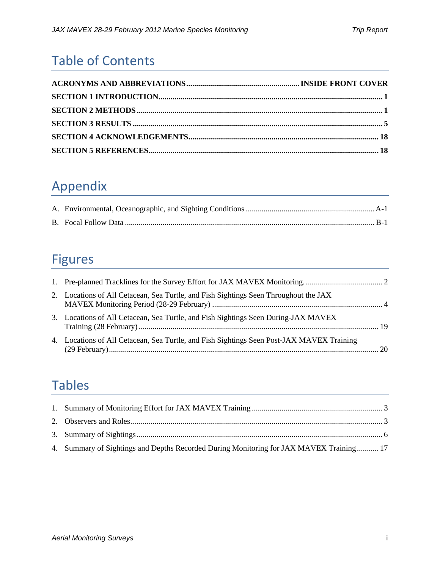# Table of Contents

## Appendix

# Figures

| 2. Locations of All Cetacean, Sea Turtle, and Fish Sightings Seen Throughout the JAX      |  |
|-------------------------------------------------------------------------------------------|--|
| 3. Locations of All Cetacean, Sea Turtle, and Fish Sightings Seen During-JAX MAVEX        |  |
| 4. Locations of All Cetacean, Sea Turtle, and Fish Sightings Seen Post-JAX MAVEX Training |  |

# Tables

| 4. Summary of Sightings and Depths Recorded During Monitoring for JAX MAVEX Training 17 |  |
|-----------------------------------------------------------------------------------------|--|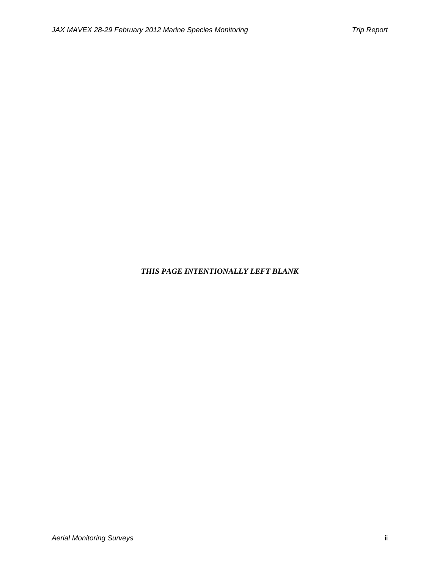#### *THIS PAGE INTENTIONALLY LEFT BLANK*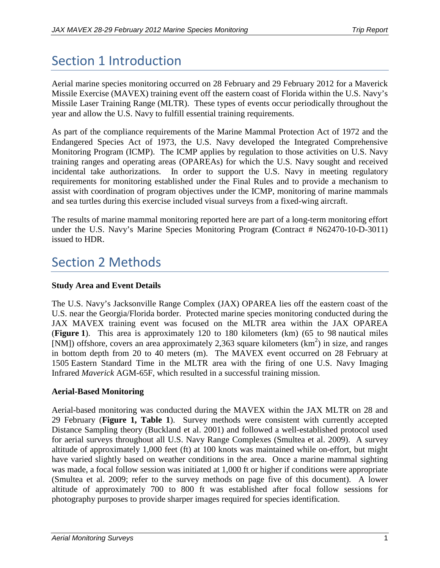## <span id="page-4-0"></span>Section 1 Introduction

Aerial marine species monitoring occurred on 28 February and 29 February 2012 for a Maverick Missile Exercise (MAVEX) training event off the eastern coast of Florida within the U.S. Navy's Missile Laser Training Range (MLTR). These types of events occur periodically throughout the year and allow the U.S. Navy to fulfill essential training requirements.

As part of the compliance requirements of the Marine Mammal Protection Act of 1972 and the Endangered Species Act of 1973, the U.S. Navy developed the Integrated Comprehensive Monitoring Program (ICMP). The ICMP applies by regulation to those activities on U.S. Navy training ranges and operating areas (OPAREAs) for which the U.S. Navy sought and received incidental take authorizations. In order to support the U.S. Navy in meeting regulatory requirements for monitoring established under the Final Rules and to provide a mechanism to assist with coordination of program objectives under the ICMP, monitoring of marine mammals and sea turtles during this exercise included visual surveys from a fixed-wing aircraft.

The results of marine mammal monitoring reported here are part of a long-term monitoring effort under the U.S. Navy's Marine Species Monitoring Program **(**Contract # N62470-10-D-3011) issued to HDR.

## <span id="page-4-1"></span>Section 2 Methods

#### **Study Area and Event Details**

The U.S. Navy's Jacksonville Range Complex (JAX) OPAREA lies off the eastern coast of the U.S. near the Georgia/Florida border. Protected marine species monitoring conducted during the JAX MAVEX training event was focused on the MLTR area within the JAX OPAREA (**Figure 1**). This area is approximately 120 to 180 kilometers (km) (65 to 98 nautical miles [NM]) offshore, covers an area approximately 2,363 square kilometers  $(km^2)$  in size, and ranges in bottom depth from 20 to 40 meters (m). The MAVEX event occurred on 28 February at 1505 Eastern Standard Time in the MLTR area with the firing of one U.S. Navy Imaging Infrared *Maverick* AGM-65F, which resulted in a successful training mission.

#### **Aerial-Based Monitoring**

Aerial-based monitoring was conducted during the MAVEX within the JAX MLTR on 28 and 29 February (**Figure 1, Table 1**). Survey methods were consistent with currently accepted Distance Sampling theory (Buckland et al. 2001) and followed a well-established protocol used for aerial surveys throughout all U.S. Navy Range Complexes (Smultea et al. 2009). A survey altitude of approximately 1,000 feet (ft) at 100 knots was maintained while on-effort, but might have varied slightly based on weather conditions in the area. Once a marine mammal sighting was made, a focal follow session was initiated at 1,000 ft or higher if conditions were appropriate (Smultea et al. 2009; refer to the survey methods on page five of this document). A lower altitude of approximately 700 to 800 ft was established after focal follow sessions for photography purposes to provide sharper images required for species identification.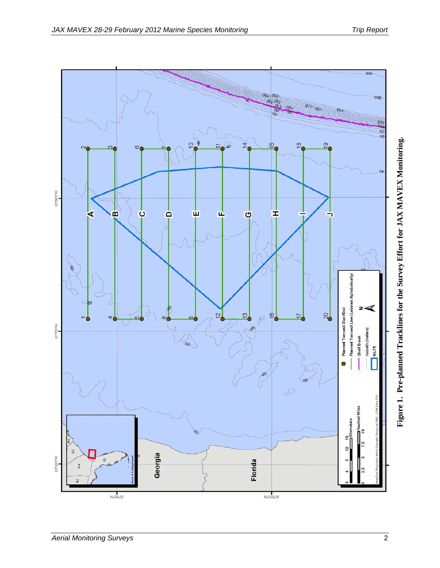<span id="page-5-0"></span>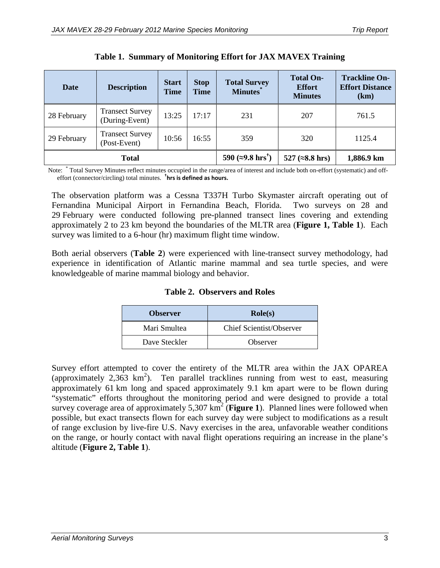<span id="page-6-0"></span>

| Date        | <b>Description</b>                       | <b>Start</b><br><b>Time</b> | <b>Stop</b><br><b>Time</b> | <b>Total Survey</b><br><b>Minutes</b> <sup>®</sup> | <b>Total On-</b><br><b>Effort</b><br><b>Minutes</b> | <b>Trackline On-</b><br><b>Effort Distance</b><br>(km) |
|-------------|------------------------------------------|-----------------------------|----------------------------|----------------------------------------------------|-----------------------------------------------------|--------------------------------------------------------|
| 28 February | <b>Transect Survey</b><br>(During-Event) | 13:25                       | 17:17                      | 231                                                | 207                                                 | 761.5                                                  |
| 29 February | <b>Transect Survey</b><br>(Post-Event)   | 10:56                       | 16:55                      | 359                                                | 320                                                 | 1125.4                                                 |
|             | Total                                    |                             |                            | 590 ( $\approx$ 9.8 hrs <sup>†</sup> )             | 527 ( $\approx 8.8$ hrs)                            | 1,886.9 km                                             |

**Table 1. Summary of Monitoring Effort for JAX MAVEX Training**

Note: \* Total Survey Minutes reflect minutes occupied in the range/area of interest and include both on-effort (systematic) and offeffort (connector/circling) total minutes. **† hrs is defined as hours.**

The observation platform was a Cessna T337H Turbo Skymaster aircraft operating out of Fernandina Municipal Airport in Fernandina Beach, Florida. Two surveys on 28 and 29 February were conducted following pre-planned transect lines covering and extending approximately 2 to 23 km beyond the boundaries of the MLTR area (**Figure 1, Table 1**). Each survey was limited to a 6-hour (hr) maximum flight time window.

<span id="page-6-1"></span>Both aerial observers (**Table 2**) were experienced with line-transect survey methodology, had experience in identification of Atlantic marine mammal and sea turtle species, and were knowledgeable of marine mammal biology and behavior.

**Table 2. Observers and Roles**

| <b>Observer</b> | $\text{Role}(s)$         |
|-----------------|--------------------------|
| Mari Smultea    | Chief Scientist/Observer |
| Dave Steckler   | Observer                 |

Survey effort attempted to cover the entirety of the MLTR area within the JAX OPAREA (approximately  $2,363 \text{ km}^2$ ). Ten parallel tracklines running from west to east, measuring approximately 61 km long and spaced approximately 9.1 km apart were to be flown during "systematic" efforts throughout the monitoring period and were designed to provide a total survey coverage area of approximately  $5,307 \text{ km}^2$  (**Figure 1**). Planned lines were followed when possible, but exact transects flown for each survey day were subject to modifications as a result of range exclusion by live-fire U.S. Navy exercises in the area, unfavorable weather conditions on the range, or hourly contact with naval flight operations requiring an increase in the plane's altitude (**Figure 2, Table 1**).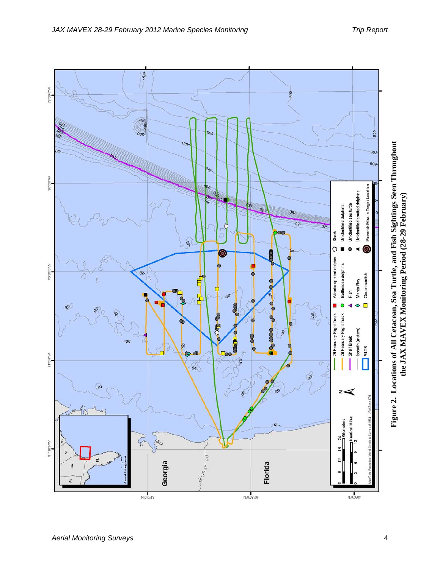<span id="page-7-0"></span>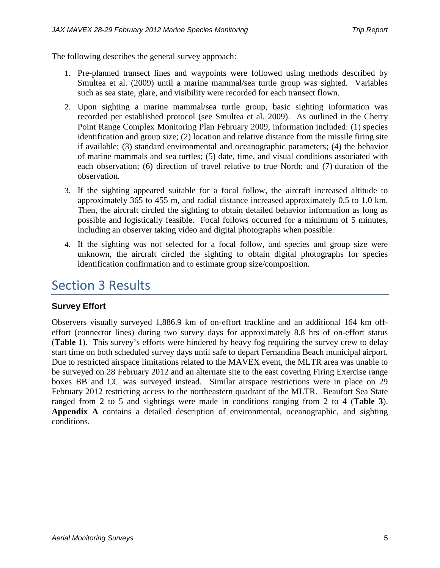The following describes the general survey approach:

- 1. Pre-planned transect lines and waypoints were followed using methods described by Smultea et al. (2009) until a marine mammal/sea turtle group was sighted. Variables such as sea state, glare, and visibility were recorded for each transect flown.
- 2. Upon sighting a marine mammal/sea turtle group, basic sighting information was recorded per established protocol (see Smultea et al. 2009). As outlined in the Cherry Point Range Complex Monitoring Plan February 2009, information included: (1) species identification and group size; (2) location and relative distance from the missile firing site if available; (3) standard environmental and oceanographic parameters; (4) the behavior of marine mammals and sea turtles; (5) date, time, and visual conditions associated with each observation; (6) direction of travel relative to true North; and (7) duration of the observation.
- 3. If the sighting appeared suitable for a focal follow, the aircraft increased altitude to approximately 365 to 455 m, and radial distance increased approximately 0.5 to 1.0 km. Then, the aircraft circled the sighting to obtain detailed behavior information as long as possible and logistically feasible. Focal follows occurred for a minimum of 5 minutes, including an observer taking video and digital photographs when possible.
- 4. If the sighting was not selected for a focal follow, and species and group size were unknown, the aircraft circled the sighting to obtain digital photographs for species identification confirmation and to estimate group size/composition.

## <span id="page-8-0"></span>Section 3 Results

#### **Survey Effort**

Observers visually surveyed 1,886.9 km of on-effort trackline and an additional 164 km offeffort (connector lines) during two survey days for approximately 8.8 hrs of on-effort status (**Table 1**). This survey's efforts were hindered by heavy fog requiring the survey crew to delay start time on both scheduled survey days until safe to depart Fernandina Beach municipal airport. Due to restricted airspace limitations related to the MAVEX event, the MLTR area was unable to be surveyed on 28 February 2012 and an alternate site to the east covering Firing Exercise range boxes BB and CC was surveyed instead. Similar airspace restrictions were in place on 29 February 2012 restricting access to the northeastern quadrant of the MLTR. Beaufort Sea State ranged from 2 to 5 and sightings were made in conditions ranging from 2 to 4 (**Table 3**). **Appendix A** contains a detailed description of environmental, oceanographic, and sighting conditions.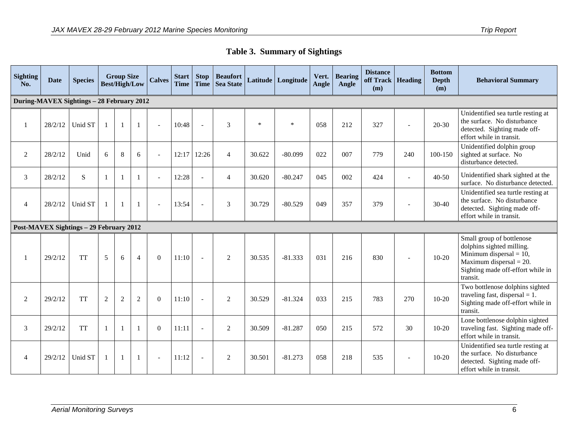|  |  | <b>Table 3. Summary of Sightings</b> |
|--|--|--------------------------------------|
|--|--|--------------------------------------|

<span id="page-9-0"></span>

| <b>Sighting</b><br>No.   | <b>Date</b> | <b>Species</b>                                 |                | <b>Group Size</b><br><b>Best/High/Low</b> |                | <b>Calves</b>  | <b>Start</b><br><b>Time</b> | <b>Stop</b><br><b>Time</b> | <b>Beaufort</b><br><b>Sea State</b> |        | Latitude Longitude | Vert.<br>Angle | <b>Bearing</b><br>Angle | <b>Distance</b><br>off Track<br>(m) | <b>Heading</b>           | <b>Bottom</b><br><b>Depth</b><br>(m) | <b>Behavioral Summary</b>                                                                                                                                           |
|--------------------------|-------------|------------------------------------------------|----------------|-------------------------------------------|----------------|----------------|-----------------------------|----------------------------|-------------------------------------|--------|--------------------|----------------|-------------------------|-------------------------------------|--------------------------|--------------------------------------|---------------------------------------------------------------------------------------------------------------------------------------------------------------------|
|                          |             | During-MAVEX Sightings - 28 February 2012      |                |                                           |                |                |                             |                            |                                     |        |                    |                |                         |                                     |                          |                                      |                                                                                                                                                                     |
| $\mathbf{1}$             | 28/2/12     | Unid ST                                        |                | $\mathbf{1}$                              |                |                | 10:48                       | $\overline{a}$             | 3                                   | $\ast$ | $\ast$             | 058            | 212                     | 327                                 | $\overline{a}$           | $20 - 30$                            | Unidentified sea turtle resting at<br>the surface. No disturbance<br>detected. Sighting made off-<br>effort while in transit.                                       |
| $\overline{2}$           | 28/2/12     | Unid                                           | 6              | $\,8\,$                                   | 6              | $\sim$         | 12:17                       | 12:26                      | $\overline{4}$                      | 30.622 | $-80.099$          | 022            | 007                     | 779                                 | 240                      | 100-150                              | Unidentified dolphin group<br>sighted at surface. No<br>disturbance detected.                                                                                       |
| 3                        | 28/2/12     | S                                              |                | $\mathbf{1}$                              |                | $\overline{a}$ | 12:28                       | $\overline{\phantom{a}}$   | $\overline{4}$                      | 30.620 | $-80.247$          | 045            | 002                     | 424                                 | $\overline{\phantom{a}}$ | $40 - 50$                            | Unidentified shark sighted at the<br>surface. No disturbance detected.                                                                                              |
| $\overline{\mathcal{L}}$ |             | 28/2/12 Unid ST                                |                | $\mathbf{1}$                              |                |                | 13:54                       | $\overline{a}$             | 3                                   | 30.729 | $-80.529$          | 049            | 357                     | 379                                 | $\overline{\phantom{a}}$ | 30-40                                | Unidentified sea turtle resting at<br>the surface. No disturbance<br>detected. Sighting made off-<br>effort while in transit.                                       |
|                          |             | <b>Post-MAVEX Sightings - 29 February 2012</b> |                |                                           |                |                |                             |                            |                                     |        |                    |                |                         |                                     |                          |                                      |                                                                                                                                                                     |
| -1                       | 29/2/12     | <b>TT</b>                                      | 5              | 6                                         | $\overline{4}$ | $\theta$       | 11:10                       | $\overline{a}$             | $\overline{2}$                      | 30.535 | $-81.333$          | 031            | 216                     | 830                                 | $\blacksquare$           | $10 - 20$                            | Small group of bottlenose<br>dolphins sighted milling.<br>Minimum dispersal $= 10$ ,<br>Maximum dispersal $= 20$ .<br>Sighting made off-effort while in<br>transit. |
| 2                        | 29/2/12     | <b>TT</b>                                      | $\overline{2}$ | $\overline{2}$                            | $\overline{c}$ | $\Omega$       | 11:10                       | $\overline{a}$             | $\overline{2}$                      | 30.529 | $-81.324$          | 033            | 215                     | 783                                 | 270                      | $10-20$                              | Two bottlenose dolphins sighted<br>traveling fast, dispersal $= 1$ .                                                                                                |
|                          |             |                                                |                |                                           |                |                |                             |                            |                                     |        |                    |                |                         |                                     |                          |                                      | Sighting made off-effort while in<br>transit.                                                                                                                       |
| 3                        | 29/2/12     | <b>TT</b>                                      |                | $\mathbf{1}$                              |                | $\overline{0}$ | 11:11                       |                            | 2                                   | 30.509 | $-81.287$          | 050            | 215                     | 572                                 | 30                       | $10 - 20$                            | Lone bottlenose dolphin sighted<br>traveling fast. Sighting made off-<br>effort while in transit.                                                                   |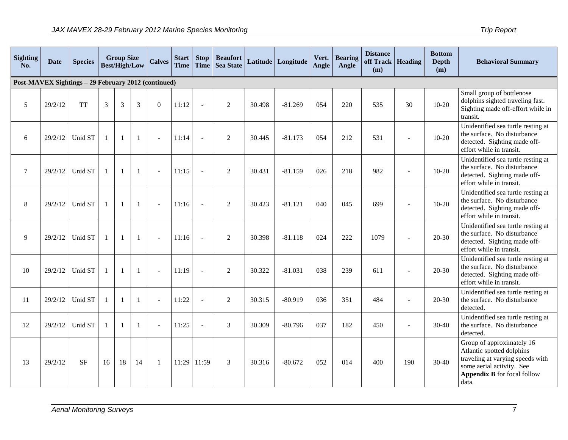| Sighting<br>No. | <b>Date</b> | <b>Species</b>                                      |    | <b>Group Size</b><br><b>Best/High/Low</b> |                | <b>Calves</b>            | <b>Start</b><br><b>Time</b> | <b>Stop</b><br><b>Time</b> | <b>Beaufort</b><br><b>Sea State</b> |        | Latitude Longitude | Vert.<br>Angle | <b>Bearing</b><br>Angle | <b>Distance</b><br>off Track<br>(m) | <b>Heading</b> | <b>Bottom</b><br><b>Depth</b><br>(m) | <b>Behavioral Summary</b>                                                                                                                                              |
|-----------------|-------------|-----------------------------------------------------|----|-------------------------------------------|----------------|--------------------------|-----------------------------|----------------------------|-------------------------------------|--------|--------------------|----------------|-------------------------|-------------------------------------|----------------|--------------------------------------|------------------------------------------------------------------------------------------------------------------------------------------------------------------------|
|                 |             | Post-MAVEX Sightings - 29 February 2012 (continued) |    |                                           |                |                          |                             |                            |                                     |        |                    |                |                         |                                     |                |                                      |                                                                                                                                                                        |
| 5               | 29/2/12     | <b>TT</b>                                           | 3  | $\overline{3}$                            | 3              | $\Omega$                 | 11:12                       |                            | $\overline{2}$                      | 30.498 | $-81.269$          | 054            | 220                     | 535                                 | 30             | $10-20$                              | Small group of bottlenose<br>dolphins sighted traveling fast.<br>Sighting made off-effort while in<br>transit.                                                         |
| 6               | 29/2/12     | Unid ST                                             |    | $\mathbf{1}$                              | $\mathbf{1}$   | $\overline{a}$           | 11:14                       | $\overline{a}$             | 2                                   | 30.445 | $-81.173$          | 054            | 212                     | 531                                 | $\overline{a}$ | $10 - 20$                            | Unidentified sea turtle resting at<br>the surface. No disturbance<br>detected. Sighting made off-<br>effort while in transit.                                          |
| $\tau$          | 29/2/12     | Unid ST                                             |    | $\mathbf{1}$                              | $\mathbf{1}$   | $\overline{a}$           | 11:15                       | $\sim$                     | 2                                   | 30.431 | $-81.159$          | 026            | 218                     | 982                                 | $\overline{a}$ | $10-20$                              | Unidentified sea turtle resting at<br>the surface. No disturbance<br>detected. Sighting made off-<br>effort while in transit.                                          |
| $\,8\,$         | 29/2/12     | Unid ST                                             |    | $\mathbf{1}$                              | $\mathbf{1}$   | $\overline{a}$           | 11:16                       | $\overline{a}$             | $\overline{2}$                      | 30.423 | $-81.121$          | 040            | 045                     | 699                                 | $\overline{a}$ | $10-20$                              | Unidentified sea turtle resting at<br>the surface. No disturbance<br>detected. Sighting made off-<br>effort while in transit.                                          |
| 9               | 29/2/12     | Unid ST                                             |    | $\mathbf{1}$                              | $\mathbf{1}$   | $\overline{\phantom{a}}$ | 11:16                       | $\overline{a}$             | $\overline{2}$                      | 30.398 | $-81.118$          | 024            | 222                     | 1079                                | $\overline{a}$ | $20-30$                              | Unidentified sea turtle resting at<br>the surface. No disturbance<br>detected. Sighting made off-<br>effort while in transit.                                          |
| 10              | 29/2/12     | Unid ST                                             |    | $\mathbf{1}$                              | $\mathbf{1}$   | $\overline{a}$           | 11:19                       | $\sim$                     | 2                                   | 30.322 | $-81.031$          | 038            | 239                     | 611                                 | $\overline{a}$ | $20-30$                              | Unidentified sea turtle resting at<br>the surface. No disturbance<br>detected. Sighting made off-<br>effort while in transit.                                          |
| 11              | 29/2/12     | Unid ST                                             |    | $\mathbf{1}$                              | -1             | $\overline{a}$           | 11:22                       | $\sim$                     | $\mathbf{2}$                        | 30.315 | $-80.919$          | 036            | 351                     | 484                                 | L,             | $20 - 30$                            | Unidentified sea turtle resting at<br>the surface. No disturbance<br>detected.                                                                                         |
| 12              | 29/2/12     | Unid ST                                             |    | 1                                         | $\overline{1}$ | $\overline{\phantom{a}}$ | 11:25                       | L,                         | 3                                   | 30.309 | $-80.796$          | 037            | 182                     | 450                                 | $\overline{a}$ | $30-40$                              | Unidentified sea turtle resting at<br>the surface. No disturbance<br>detected.                                                                                         |
| 13              | 29/2/12     | <b>SF</b>                                           | 16 | 18                                        | 14             | $\mathbf{1}$             | 11:29                       | 11:59                      | $\overline{3}$                      | 30.316 | $-80.672$          | 052            | 014                     | 400                                 | 190            | $30 - 40$                            | Group of approximately 16<br>Atlantic spotted dolphins<br>traveling at varying speeds with<br>some aerial activity. See<br><b>Appendix B</b> for focal follow<br>data. |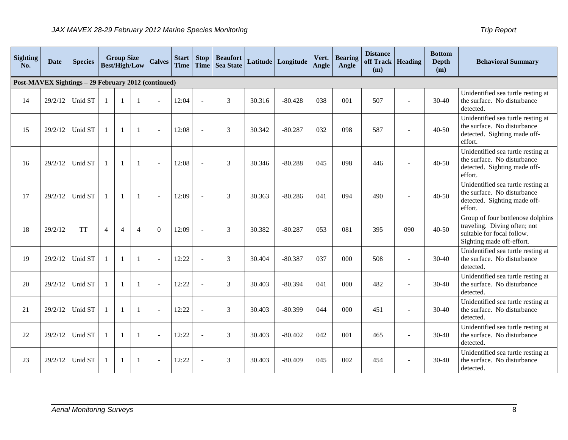| <b>Sighting</b><br>No. | <b>Date</b> | <b>Species</b>                                      |                | <b>Group Size</b><br><b>Best/High/Low</b> |                | <b>Calves</b>            | <b>Start</b><br><b>Time</b> | <b>Stop</b><br><b>Time</b> | <b>Beaufort</b><br><b>Sea State</b> |        | Latitude   Longitude | Vert.<br>Angle | <b>Bearing</b><br>Angle | <b>Distance</b><br>off Track   Heading<br>(m) |                | <b>Bottom</b><br><b>Depth</b><br>(m) | <b>Behavioral Summary</b>                                                                                                    |
|------------------------|-------------|-----------------------------------------------------|----------------|-------------------------------------------|----------------|--------------------------|-----------------------------|----------------------------|-------------------------------------|--------|----------------------|----------------|-------------------------|-----------------------------------------------|----------------|--------------------------------------|------------------------------------------------------------------------------------------------------------------------------|
|                        |             | Post-MAVEX Sightings - 29 February 2012 (continued) |                |                                           |                |                          |                             |                            |                                     |        |                      |                |                         |                                               |                |                                      |                                                                                                                              |
| 14                     | 29/2/12     | Unid ST                                             | $\mathbf{1}$   | $\mathbf{1}$                              | -1             | $\overline{\phantom{a}}$ | 12:04                       |                            | 3                                   | 30.316 | $-80.428$            | 038            | 001                     | 507                                           | $\overline{a}$ | $30 - 40$                            | Unidentified sea turtle resting at<br>the surface. No disturbance<br>detected.                                               |
| 15                     | 29/2/12     | Unid ST                                             |                | $\mathbf{1}$                              | $\mathbf{1}$   | $\sim$                   | 12:08                       | $\overline{a}$             | 3                                   | 30.342 | $-80.287$            | 032            | 098                     | 587                                           | $\overline{a}$ | $40 - 50$                            | Unidentified sea turtle resting at<br>the surface. No disturbance<br>detected. Sighting made off-<br>effort.                 |
| 16                     | 29/2/12     | Unid ST                                             |                | $\mathbf{1}$                              | $\mathbf{1}$   | $\overline{a}$           | 12:08                       | $\overline{a}$             | 3                                   | 30.346 | $-80.288$            | 045            | 098                     | 446                                           |                | $40 - 50$                            | Unidentified sea turtle resting at<br>the surface. No disturbance<br>detected. Sighting made off-<br>effort.                 |
| 17                     | 29/2/12     | Unid ST                                             | 1              | $\mathbf{1}$                              | $\mathbf{1}$   | $\overline{a}$           | 12:09                       | $\overline{a}$             | 3                                   | 30.363 | $-80.286$            | 041            | 094                     | 490                                           | $\overline{a}$ | $40 - 50$                            | Unidentified sea turtle resting at<br>the surface. No disturbance<br>detected. Sighting made off-<br>effort.                 |
| 18                     | 29/2/12     | <b>TT</b>                                           | $\overline{4}$ | $\overline{4}$                            | $\overline{4}$ | $\mathbf{0}$             | 12:09                       | $\overline{a}$             | 3                                   | 30.382 | $-80.287$            | 053            | 081                     | 395                                           | 090            | $40 - 50$                            | Group of four bottlenose dolphins<br>traveling. Diving often; not<br>suitable for focal follow.<br>Sighting made off-effort. |
| 19                     | 29/2/12     | Unid ST                                             |                | $\mathbf{1}$                              | -1             | $\sim$                   | 12:22                       | $\overline{\phantom{a}}$   | 3                                   | 30.404 | $-80.387$            | 037            | 000                     | 508                                           | $\overline{a}$ | $30 - 40$                            | Unidentified sea turtle resting at<br>the surface. No disturbance<br>detected.                                               |
| 20                     | 29/2/12     | Unid ST                                             | 1              | $\mathbf{1}$                              | -1             | $\overline{\phantom{a}}$ | 12:22                       | $\overline{\phantom{a}}$   | 3                                   | 30.403 | $-80.394$            | 041            | 000                     | 482                                           | $\overline{a}$ | $30 - 40$                            | Unidentified sea turtle resting at<br>the surface. No disturbance<br>detected.                                               |
| 21                     | 29/2/12     | Unid ST                                             |                | -1                                        | -1             | $\overline{\phantom{a}}$ | 12:22                       | $\overline{a}$             | 3                                   | 30.403 | $-80.399$            | 044            | 000                     | 451                                           | $\overline{a}$ | $30 - 40$                            | Unidentified sea turtle resting at<br>the surface. No disturbance<br>detected.                                               |
| 22                     | 29/2/12     | Unid ST                                             |                | $\mathbf{1}$                              | $\mathbf{1}$   | $\overline{\phantom{a}}$ | 12:22                       | $\overline{a}$             | 3                                   | 30.403 | $-80.402$            | 042            | 001                     | 465                                           | $\overline{a}$ | $30 - 40$                            | Unidentified sea turtle resting at<br>the surface. No disturbance<br>detected.                                               |
| 23                     | 29/2/12     | Unid ST                                             |                | $\mathbf{1}$                              | $\mathbf{1}$   | $\blacksquare$           | 12:22                       | $\overline{a}$             | 3                                   | 30.403 | $-80.409$            | 045            | 002                     | 454                                           | $\overline{a}$ | 30-40                                | Unidentified sea turtle resting at<br>the surface. No disturbance<br>detected.                                               |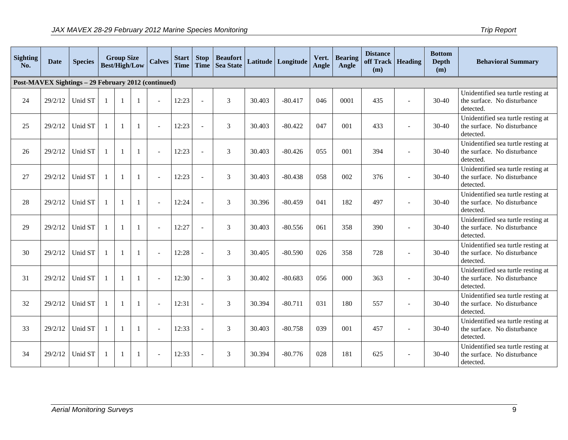| <b>Sighting</b><br>No. | <b>Date</b> | <b>Species</b>                                      | <b>Group Size</b><br><b>Best/High/Low</b> |                | <b>Calves</b>            | <b>Start</b><br><b>Time</b> | <b>Stop</b><br><b>Time</b> | <b>Beaufort</b><br><b>Sea State</b> |        | Latitude   Longitude | Vert.<br>Angle | <b>Bearing</b><br>Angle | <b>Distance</b><br>off Track   Heading<br>(m) |                | <b>Bottom</b><br><b>Depth</b><br>(m) | <b>Behavioral Summary</b>                                                      |
|------------------------|-------------|-----------------------------------------------------|-------------------------------------------|----------------|--------------------------|-----------------------------|----------------------------|-------------------------------------|--------|----------------------|----------------|-------------------------|-----------------------------------------------|----------------|--------------------------------------|--------------------------------------------------------------------------------|
|                        |             | Post-MAVEX Sightings - 29 February 2012 (continued) |                                           |                |                          |                             |                            |                                     |        |                      |                |                         |                                               |                |                                      |                                                                                |
| 24                     | 29/2/12     | Unid ST                                             | $\mathbf{1}$                              | -1             | $\overline{a}$           | 12:23                       |                            | 3                                   | 30.403 | $-80.417$            | 046            | 0001                    | 435                                           |                | $30 - 40$                            | Unidentified sea turtle resting at<br>the surface. No disturbance<br>detected. |
| 25                     | 29/2/12     | Unid ST                                             | $\mathbf{1}$                              | -1             | $\sim$                   | 12:23                       | $\overline{a}$             | 3                                   | 30.403 | $-80.422$            | 047            | 001                     | 433                                           | $\overline{a}$ | $30-40$                              | Unidentified sea turtle resting at<br>the surface. No disturbance<br>detected. |
| 26                     | 29/2/12     | Unid ST                                             | $\mathbf{1}$                              | -1             | $\blacksquare$           | 12:23                       | $\overline{a}$             | 3                                   | 30.403 | $-80.426$            | 055            | 001                     | 394                                           | $\blacksquare$ | $30 - 40$                            | Unidentified sea turtle resting at<br>the surface. No disturbance<br>detected. |
| 27                     | 29/2/12     | Unid ST                                             | $\mathbf{1}$                              | -1             | $\overline{\phantom{a}}$ | 12:23                       | $\overline{a}$             | 3                                   | 30.403 | $-80.438$            | 058            | 002                     | 376                                           | $\blacksquare$ | $30-40$                              | Unidentified sea turtle resting at<br>the surface. No disturbance<br>detected. |
| 28                     | 29/2/12     | Unid ST                                             | $\mathbf{1}$                              | -1             | $\overline{\phantom{a}}$ | 12:24                       | $\overline{\phantom{a}}$   | 3                                   | 30.396 | $-80.459$            | 041            | 182                     | 497                                           | $\blacksquare$ | $30 - 40$                            | Unidentified sea turtle resting at<br>the surface. No disturbance<br>detected. |
| 29                     | 29/2/12     | Unid ST                                             | $\mathbf{1}$                              | -1             | $\overline{\phantom{a}}$ | 12:27                       | $\overline{a}$             | 3                                   | 30.403 | $-80.556$            | 061            | 358                     | 390                                           | $\blacksquare$ | $30-40$                              | Unidentified sea turtle resting at<br>the surface. No disturbance<br>detected. |
| 30                     | 29/2/12     | Unid ST                                             | $\mathbf{1}$                              |                | $\overline{\phantom{a}}$ | 12:28                       | $\overline{a}$             | 3                                   | 30.405 | $-80.590$            | 026            | 358                     | 728                                           | $\overline{a}$ | $30 - 40$                            | Unidentified sea turtle resting at<br>the surface. No disturbance<br>detected. |
| 31                     | 29/2/12     | Unid ST                                             | $\mathbf{1}$                              | 1              | $\overline{\phantom{a}}$ | 12:30                       | $\overline{\phantom{a}}$   | 3                                   | 30.402 | $-80.683$            | 056            | 000                     | 363                                           | $\overline{a}$ | $30 - 40$                            | Unidentified sea turtle resting at<br>the surface. No disturbance<br>detected. |
| 32                     | 29/2/12     | Unid ST                                             | -1                                        | $\mathbf{1}$   | $\overline{\phantom{a}}$ | 12:31                       | $\overline{\phantom{m}}$   | 3                                   | 30.394 | $-80.711$            | 031            | 180                     | 557                                           | $\overline{a}$ | $30-40$                              | Unidentified sea turtle resting at<br>the surface. No disturbance<br>detected. |
| 33                     | 29/2/12     | Unid ST                                             | $\mathbf{1}$                              | $\overline{1}$ | $\overline{a}$           | 12:33                       | $\overline{a}$             | 3                                   | 30.403 | $-80.758$            | 039            | 001                     | 457                                           | $\overline{a}$ | $30-40$                              | Unidentified sea turtle resting at<br>the surface. No disturbance<br>detected. |
| 34                     | 29/2/12     | Unid ST                                             | $\mathbf{1}$                              | -1             |                          | 12:33                       | $\overline{a}$             | 3                                   | 30.394 | $-80.776$            | 028            | 181                     | 625                                           | L,             | 30-40                                | Unidentified sea turtle resting at<br>the surface. No disturbance<br>detected. |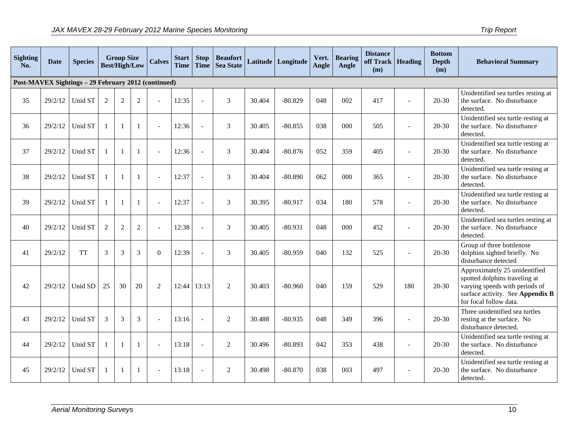| <b>Sighting</b><br>No. | <b>Date</b> | <b>Species</b>                                      |                | <b>Group Size</b><br><b>Best/High/Low</b> |                | <b>Calves</b>            | <b>Start</b><br><b>Time</b> | <b>Stop</b><br><b>Time</b> | <b>Beaufort</b><br><b>Sea State</b> | Latitude | Longitude | Vert.<br>Angle | <b>Bearing</b><br>Angle | <b>Distance</b><br>off Track   Heading<br>(m) |                | <b>Bottom</b><br><b>Depth</b><br>(m) | <b>Behavioral Summary</b>                                                                                                                                      |
|------------------------|-------------|-----------------------------------------------------|----------------|-------------------------------------------|----------------|--------------------------|-----------------------------|----------------------------|-------------------------------------|----------|-----------|----------------|-------------------------|-----------------------------------------------|----------------|--------------------------------------|----------------------------------------------------------------------------------------------------------------------------------------------------------------|
|                        |             | Post-MAVEX Sightings - 29 February 2012 (continued) |                |                                           |                |                          |                             |                            |                                     |          |           |                |                         |                                               |                |                                      |                                                                                                                                                                |
| 35                     | 29/2/12     | Unid ST                                             | 2              | $\overline{2}$                            | $\overline{c}$ | $\overline{a}$           | 12:35                       | $\overline{a}$             | 3                                   | 30.404   | $-80.829$ | 048            | 002                     | 417                                           | L,             | $20 - 30$                            | Unidentified sea turtles resting at<br>the surface. No disturbance<br>detected.                                                                                |
| 36                     | 29/2/12     | Unid ST                                             |                | $\mathbf{1}$                              | $\mathbf{1}$   | $\overline{a}$           | 12:36                       | $\overline{\phantom{a}}$   | 3                                   | 30.405   | $-80.855$ | 038            | 000                     | 505                                           | $\overline{a}$ | $20 - 30$                            | Unidentified sea turtle resting at<br>the surface. No disturbance<br>detected.                                                                                 |
| 37                     | 29/2/12     | Unid ST                                             | $\mathbf{1}$   | $\mathbf{1}$                              | -1             | $\overline{a}$           | 12:36                       | $\overline{a}$             | 3                                   | 30.404   | $-80.876$ | 052            | 359                     | 405                                           | $\overline{a}$ | $20 - 30$                            | Unidentified sea turtle resting at<br>the surface. No disturbance<br>detected.                                                                                 |
| 38                     | 29/2/12     | Unid ST                                             | $\mathbf{1}$   | $\mathbf{1}$                              | 1              | $\overline{a}$           | 12:37                       | $\overline{a}$             | 3                                   | 30.404   | $-80.890$ | 062            | 000                     | 365                                           | $\overline{a}$ | $20 - 30$                            | Unidentified sea turtle resting at<br>the surface. No disturbance<br>detected.                                                                                 |
| 39                     | 29/2/12     | Unid ST                                             |                | $\mathbf{1}$                              | $\mathbf{1}$   | $\blacksquare$           | 12:37                       | $\overline{a}$             | 3                                   | 30.395   | $-80.917$ | 034            | 180                     | 578                                           | L,             | $20 - 30$                            | Unidentified sea turtle resting at<br>the surface. No disturbance<br>detected.                                                                                 |
| 40                     | 29/2/12     | Unid ST                                             | $\overline{2}$ | $\sqrt{2}$                                | $\overline{2}$ | $\overline{a}$           | 12:38                       | $\overline{a}$             | 3                                   | 30.405   | $-80.931$ | 048            | 000                     | 452                                           | $\overline{a}$ | $20 - 30$                            | Unidentified sea turtles resting at<br>the surface. No disturbance<br>detected.                                                                                |
| 41                     | 29/2/12     | <b>TT</b>                                           | 3              | 3                                         | 3              | $\Omega$                 | 12:39                       | $\overline{a}$             | 3                                   | 30.405   | $-80.959$ | 040            | 132                     | 525                                           | $\overline{a}$ | $20 - 30$                            | Group of three bottlenose<br>dolphins sighted briefly. No<br>disturbance detected                                                                              |
| 42                     | 29/2/12     | Unid SD                                             | 25             | 30                                        | 20             | $\overline{2}$           | 12:44                       | 13:13                      | $\overline{2}$                      | 30.403   | $-80.960$ | 040            | 159                     | 529                                           | 180            | $20 - 30$                            | Approximately 25 unidentified<br>spotted dolphins traveling at<br>varying speeds with periods of<br>surface activity. See Appendix B<br>for focal follow data. |
| 43                     | 29/2/12     | Unid ST                                             | 3              | 3                                         | 3              | $\overline{a}$           | 13:16                       | $\overline{a}$             | $\overline{2}$                      | 30.488   | $-80.935$ | 048            | 349                     | 396                                           | $\overline{a}$ | $20 - 30$                            | Three unidentified sea turtles<br>resting at the surface. No<br>disturbance detected.                                                                          |
| 44                     | 29/2/12     | Unid ST                                             |                | $\mathbf{1}$                              | -1             | $\overline{\phantom{a}}$ | 13:18                       | $\overline{\phantom{a}}$   | $\overline{2}$                      | 30.496   | $-80.893$ | 042            | 353                     | 438                                           | $\blacksquare$ | $20 - 30$                            | Unidentified sea turtle resting at<br>the surface. No disturbance<br>detected.                                                                                 |
| 45                     | 29/2/12     | Unid ST                                             |                | $\mathbf{1}$                              | 1              | $\overline{a}$           | 13:18                       | $\overline{a}$             | $\overline{2}$                      | 30.498   | $-80.870$ | 038            | 003                     | 497                                           | $\blacksquare$ | $20 - 30$                            | Unidentified sea turtle resting at<br>the surface. No disturbance<br>detected.                                                                                 |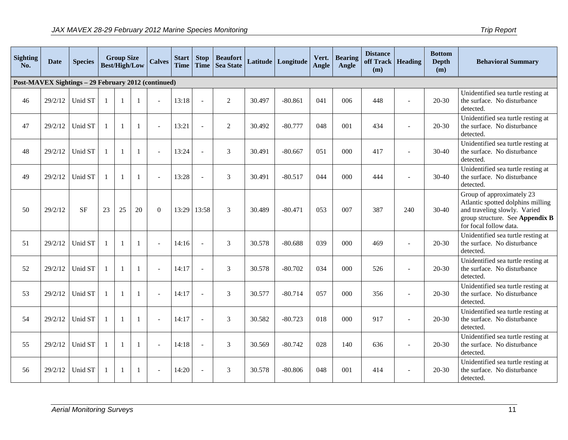| <b>Sighting</b><br>No. | <b>Date</b> | <b>Species</b>                                      |              | <b>Group Size</b><br>Best/High/Low |              | <b>Calves</b>            | <b>Start</b><br><b>Time</b> | <b>Stop</b><br><b>Time</b> | <b>Beaufort</b><br><b>Sea State</b> |        | Latitude   Longitude | Vert.<br>Angle | <b>Bearing</b><br>Angle | <b>Distance</b><br>off Track   Heading<br>(m) |                | <b>Bottom</b><br><b>Depth</b><br>(m) | <b>Behavioral Summary</b>                                                                                                                                   |
|------------------------|-------------|-----------------------------------------------------|--------------|------------------------------------|--------------|--------------------------|-----------------------------|----------------------------|-------------------------------------|--------|----------------------|----------------|-------------------------|-----------------------------------------------|----------------|--------------------------------------|-------------------------------------------------------------------------------------------------------------------------------------------------------------|
|                        |             | Post-MAVEX Sightings - 29 February 2012 (continued) |              |                                    |              |                          |                             |                            |                                     |        |                      |                |                         |                                               |                |                                      |                                                                                                                                                             |
| 46                     | 29/2/12     | Unid ST                                             |              | $\mathbf{1}$                       | -1           | $\overline{\phantom{a}}$ | 13:18                       | $\overline{a}$             | $\overline{2}$                      | 30.497 | $-80.861$            | 041            | 006                     | 448                                           | $\overline{a}$ | $20 - 30$                            | Unidentified sea turtle resting at<br>the surface. No disturbance<br>detected.                                                                              |
| 47                     | 29/2/12     | Unid ST                                             |              | $\mathbf{1}$                       | $\mathbf{1}$ | $\overline{a}$           | 13:21                       | $\overline{a}$             | $\overline{c}$                      | 30.492 | $-80.777$            | 048            | 001                     | 434                                           | $\overline{a}$ | $20 - 30$                            | Unidentified sea turtle resting at<br>the surface. No disturbance<br>detected.                                                                              |
| 48                     | 29/2/12     | Unid ST                                             | $\mathbf{1}$ | $\mathbf{1}$                       | -1           | $\overline{\phantom{a}}$ | 13:24                       | $\overline{a}$             | 3                                   | 30.491 | $-80.667$            | 051            | 000                     | 417                                           | $\blacksquare$ | $30-40$                              | Unidentified sea turtle resting at<br>the surface. No disturbance<br>detected.                                                                              |
| 49                     | 29/2/12     | Unid ST                                             |              | -1                                 | -1           | $\overline{\phantom{a}}$ | 13:28                       | $\overline{a}$             | 3                                   | 30.491 | $-80.517$            | 044            | 000                     | 444                                           | $\overline{a}$ | $30 - 40$                            | Unidentified sea turtle resting at<br>the surface. No disturbance<br>detected.                                                                              |
| 50                     | 29/2/12     | <b>SF</b>                                           | 23           | 25                                 | 20           | $\Omega$                 | 13:29                       | 13:58                      | 3                                   | 30.489 | $-80.471$            | 053            | 007                     | 387                                           | 240            | $30 - 40$                            | Group of approximately 23<br>Atlantic spotted dolphins milling<br>and traveling slowly. Varied<br>group structure. See Appendix B<br>for focal follow data. |
| 51                     | 29/2/12     | Unid ST                                             |              | $\mathbf{1}$                       | $\mathbf{1}$ | $\overline{a}$           | 14:16                       | $\overline{a}$             | 3                                   | 30.578 | $-80.688$            | 039            | 000                     | 469                                           | $\overline{a}$ | $20 - 30$                            | Unidentified sea turtle resting at<br>the surface. No disturbance<br>detected.                                                                              |
| 52                     | 29/2/12     | Unid ST                                             | $\mathbf{1}$ | $\mathbf{1}$                       | -1           | $\overline{\phantom{a}}$ | 14:17                       | $\overline{a}$             | 3                                   | 30.578 | $-80.702$            | 034            | 000                     | 526                                           | $\blacksquare$ | $20 - 30$                            | Unidentified sea turtle resting at<br>the surface. No disturbance<br>detected.                                                                              |
| 53                     | 29/2/12     | Unid ST                                             |              | $\mathbf{1}$                       | -1           | $\overline{\phantom{a}}$ | 14:17                       | $\overline{a}$             | 3                                   | 30.577 | $-80.714$            | 057            | 000                     | 356                                           | $\overline{a}$ | $20 - 30$                            | Unidentified sea turtle resting at<br>the surface. No disturbance<br>detected.                                                                              |
| 54                     | 29/2/12     | Unid ST                                             | $\mathbf{1}$ | $\mathbf{1}$                       | $\mathbf{1}$ | $\overline{a}$           | 14:17                       | $\omega$                   | $\overline{3}$                      | 30.582 | $-80.723$            | 018            | 000                     | 917                                           | $\blacksquare$ | $20 - 30$                            | Unidentified sea turtle resting at<br>the surface. No disturbance<br>detected.                                                                              |
| 55                     | 29/2/12     | Unid ST                                             |              | $\mathbf{1}$                       | -1           | $\overline{\phantom{a}}$ | 14:18                       | $\overline{a}$             | 3                                   | 30.569 | $-80.742$            | 028            | 140                     | 636                                           | $\blacksquare$ | $20 - 30$                            | Unidentified sea turtle resting at<br>the surface. No disturbance<br>detected.                                                                              |
| 56                     | 29/2/12     | Unid ST                                             |              | $\mathbf{1}$                       | 1            | $\overline{a}$           | 14:20                       | $\overline{a}$             | 3                                   | 30.578 | $-80.806$            | 048            | 001                     | 414                                           | $\overline{a}$ | $20 - 30$                            | Unidentified sea turtle resting at<br>the surface. No disturbance<br>detected.                                                                              |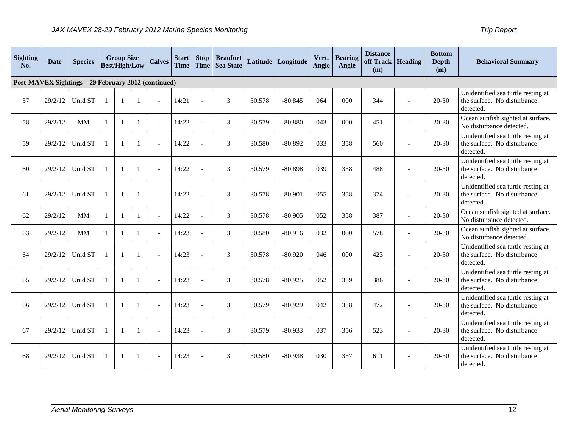| <b>Sighting</b><br>No. | <b>Date</b> | <b>Species</b>                                      |              | <b>Group Size</b><br>Best/High/Low |              | <b>Calves</b>            | <b>Start</b><br><b>Time</b> | <b>Stop</b><br><b>Time</b>  | <b>Beaufort</b><br><b>Sea State</b> |        | Latitude   Longitude | Vert.<br>Angle | <b>Bearing</b><br>Angle | <b>Distance</b><br>off Track   Heading<br>(m) |                          | <b>Bottom</b><br><b>Depth</b><br>(m) | <b>Behavioral Summary</b>                                                      |
|------------------------|-------------|-----------------------------------------------------|--------------|------------------------------------|--------------|--------------------------|-----------------------------|-----------------------------|-------------------------------------|--------|----------------------|----------------|-------------------------|-----------------------------------------------|--------------------------|--------------------------------------|--------------------------------------------------------------------------------|
|                        |             | Post-MAVEX Sightings - 29 February 2012 (continued) |              |                                    |              |                          |                             |                             |                                     |        |                      |                |                         |                                               |                          |                                      |                                                                                |
| 57                     | 29/2/12     | Unid ST                                             |              | $\mathbf{1}$                       | $\mathbf{1}$ | $\overline{a}$           | 14:21                       |                             | 3                                   | 30.578 | $-80.845$            | 064            | 000                     | 344                                           | $\overline{a}$           | $20 - 30$                            | Unidentified sea turtle resting at<br>the surface. No disturbance<br>detected. |
| 58                     | 29/2/12     | <b>MM</b>                                           |              | -1                                 | -1           | $\overline{a}$           | 14:22                       | $\mathcal{L}^{\mathcal{A}}$ | 3                                   | 30.579 | $-80.880$            | 043            | 000                     | 451                                           | $\overline{a}$           | $20 - 30$                            | Ocean sunfish sighted at surface.<br>No disturbance detected.                  |
| 59                     | 29/2/12     | Unid ST                                             |              | $\mathbf{1}$                       | -1           | $\overline{\phantom{a}}$ | 14:22                       | $\overline{a}$              | 3                                   | 30.580 | $-80.892$            | 033            | 358                     | 560                                           | $\overline{a}$           | $20 - 30$                            | Unidentified sea turtle resting at<br>the surface. No disturbance<br>detected. |
| 60                     | 29/2/12     | Unid ST                                             |              | $\mathbf{1}$                       | -1           | $\blacksquare$           | 14:22                       | $\overline{a}$              | 3                                   | 30.579 | $-80.898$            | 039            | 358                     | 488                                           | $\blacksquare$           | $20 - 30$                            | Unidentified sea turtle resting at<br>the surface. No disturbance<br>detected. |
| 61                     | 29/2/12     | Unid ST                                             |              | $\mathbf{1}$                       | -1           | $\overline{a}$           | 14:22                       | $\overline{a}$              | 3                                   | 30.578 | $-80.901$            | 055            | 358                     | 374                                           | $\overline{a}$           | $20 - 30$                            | Unidentified sea turtle resting at<br>the surface. No disturbance<br>detected. |
| 62                     | 29/2/12     | MM                                                  |              | 1                                  | -1           | $\overline{a}$           | 14:22                       | $\overline{a}$              | 3                                   | 30.578 | $-80.905$            | 052            | 358                     | 387                                           | $\blacksquare$           | $20 - 30$                            | Ocean sunfish sighted at surface.<br>No disturbance detected.                  |
| 63                     | 29/2/12     | <b>MM</b>                                           | $\mathbf{1}$ | -1                                 | -1           | $\overline{a}$           | 14:23                       | $\mathbb{L}^{\mathbb{N}}$   | 3                                   | 30.580 | $-80.916$            | 032            | 000                     | 578                                           | $\blacksquare$           | $20 - 30$                            | Ocean sunfish sighted at surface.<br>No disturbance detected.                  |
| 64                     | 29/2/12     | Unid ST                                             |              | $\mathbf{1}$                       | -1           | $\overline{a}$           | 14:23                       | $\overline{a}$              | 3                                   | 30.578 | $-80.920$            | 046            | 000                     | 423                                           | $\overline{a}$           | $20 - 30$                            | Unidentified sea turtle resting at<br>the surface. No disturbance<br>detected. |
| 65                     | 29/2/12     | Unid ST                                             |              | $\mathbf{1}$                       |              | $\overline{\phantom{a}}$ | 14:23                       | $\overline{\phantom{a}}$    | 3                                   | 30.578 | $-80.925$            | 052            | 359                     | 386                                           | $\blacksquare$           | $20 - 30$                            | Unidentified sea turtle resting at<br>the surface. No disturbance<br>detected. |
| 66                     | 29/2/12     | Unid ST                                             |              | $\mathbf{1}$                       | -1           | $\overline{\phantom{a}}$ | 14:23                       | $\overline{\phantom{a}}$    | 3                                   | 30.579 | $-80.929$            | 042            | 358                     | 472                                           | $\overline{a}$           | $20 - 30$                            | Unidentified sea turtle resting at<br>the surface. No disturbance<br>detected. |
| 67                     | 29/2/12     | Unid ST                                             |              | $\mathbf{1}$                       | -1           | $\overline{\phantom{a}}$ | 14:23                       | $\overline{\phantom{a}}$    | 3                                   | 30.579 | $-80.933$            | 037            | 356                     | 523                                           | $\overline{\phantom{0}}$ | $20 - 30$                            | Unidentified sea turtle resting at<br>the surface. No disturbance<br>detected. |
| 68                     | 29/2/12     | Unid ST                                             |              | $\mathbf{1}$                       |              |                          | 14:23                       | $\overline{a}$              | 3                                   | 30.580 | $-80.938$            | 030            | 357                     | 611                                           | $\overline{\phantom{0}}$ | $20 - 30$                            | Unidentified sea turtle resting at<br>the surface. No disturbance<br>detected. |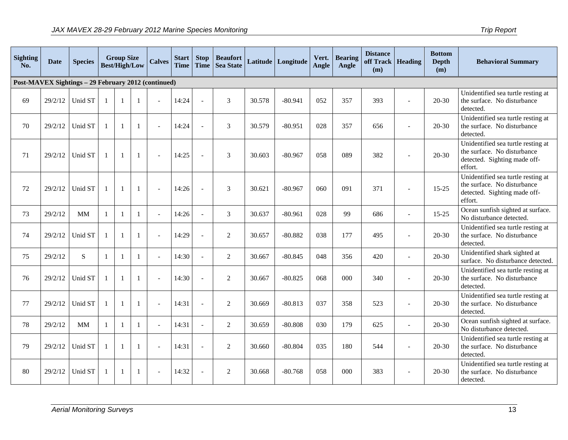| <b>Sighting</b><br>No. | <b>Date</b> | <b>Species</b>                                      |              | <b>Group Size</b><br><b>Best/High/Low</b> |              | <b>Calves</b>            | <b>Start</b><br><b>Time</b> | <b>Stop</b><br><b>Time</b>  | <b>Beaufort</b><br><b>Sea State</b> | Latitude | Longitude | Vert.<br>Angle | <b>Bearing</b><br>Angle | <b>Distance</b><br>off Track   Heading<br>(m) |                          | <b>Bottom</b><br><b>Depth</b><br>(m) | <b>Behavioral Summary</b>                                                                                    |
|------------------------|-------------|-----------------------------------------------------|--------------|-------------------------------------------|--------------|--------------------------|-----------------------------|-----------------------------|-------------------------------------|----------|-----------|----------------|-------------------------|-----------------------------------------------|--------------------------|--------------------------------------|--------------------------------------------------------------------------------------------------------------|
|                        |             | Post-MAVEX Sightings - 29 February 2012 (continued) |              |                                           |              |                          |                             |                             |                                     |          |           |                |                         |                                               |                          |                                      |                                                                                                              |
| 69                     | 29/2/12     | Unid ST                                             |              | 1                                         | -1           | $\overline{a}$           | 14:24                       | $\overline{a}$              | 3                                   | 30.578   | $-80.941$ | 052            | 357                     | 393                                           | $\overline{a}$           | $20 - 30$                            | Unidentified sea turtle resting at<br>the surface. No disturbance<br>detected.                               |
| 70                     | 29/2/12     | Unid ST                                             | $\mathbf{1}$ | $\mathbf{1}$                              | -1           | $\overline{\phantom{a}}$ | 14:24                       | $\overline{a}$              | 3                                   | 30.579   | $-80.951$ | 028            | 357                     | 656                                           |                          | $20 - 30$                            | Unidentified sea turtle resting at<br>the surface. No disturbance<br>detected.                               |
| 71                     | 29/2/12     | Unid ST                                             |              | $\mathbf{1}$                              | 1            | $\overline{\phantom{a}}$ | 14:25                       | $\overline{a}$              | 3                                   | 30.603   | $-80.967$ | 058            | 089                     | 382                                           | L,                       | $20 - 30$                            | Unidentified sea turtle resting at<br>the surface. No disturbance<br>detected. Sighting made off-<br>effort. |
| 72                     | 29/2/12     | Unid ST                                             | $\mathbf{1}$ | $\mathbf{1}$                              | -1           | $\overline{\phantom{a}}$ | 14:26                       | $\overline{a}$              | 3                                   | 30.621   | $-80.967$ | 060            | 091                     | 371                                           | $\blacksquare$           | $15 - 25$                            | Unidentified sea turtle resting at<br>the surface. No disturbance<br>detected. Sighting made off-<br>effort. |
| 73                     | 29/2/12     | <b>MM</b>                                           |              | $\mathbf{1}$                              | $\mathbf{1}$ | $\overline{a}$           | 14:26                       | $\overline{\phantom{a}}$    | 3                                   | 30.637   | $-80.961$ | 028            | 99                      | 686                                           | $\blacksquare$           | $15 - 25$                            | Ocean sunfish sighted at surface.<br>No disturbance detected.                                                |
| 74                     | 29/2/12     | Unid ST                                             |              | $\mathbf{1}$                              | -1           | $\overline{a}$           | 14:29                       | $\overline{a}$              | $\overline{2}$                      | 30.657   | $-80.882$ | 038            | 177                     | 495                                           | $\overline{a}$           | $20 - 30$                            | Unidentified sea turtle resting at<br>the surface. No disturbance<br>detected.                               |
| 75                     | 29/2/12     | S                                                   | $\mathbf{1}$ | $\mathbf{1}$                              | $\mathbf{1}$ | $\mathcal{L}$            | 14:30                       | $\mathcal{L}^{\mathcal{A}}$ | $\overline{2}$                      | 30.667   | $-80.845$ | 048            | 356                     | 420                                           | $\overline{\phantom{a}}$ | $20 - 30$                            | Unidentified shark sighted at<br>surface. No disturbance detected.                                           |
| 76                     | 29/2/12     | Unid ST                                             |              | $\mathbf{1}$                              | -1           | $\overline{\phantom{a}}$ | 14:30                       | $\overline{a}$              | $\overline{2}$                      | 30.667   | $-80.825$ | 068            | 000                     | 340                                           | $\overline{a}$           | $20 - 30$                            | Unidentified sea turtle resting at<br>the surface. No disturbance<br>detected.                               |
| 77                     | 29/2/12     | Unid ST                                             | $\mathbf{1}$ | $\mathbf{1}$                              | $\mathbf{1}$ | $\overline{a}$           | 14:31                       | $\overline{a}$              | $\overline{2}$                      | 30.669   | $-80.813$ | 037            | 358                     | 523                                           | $\overline{a}$           | $20 - 30$                            | Unidentified sea turtle resting at<br>the surface. No disturbance<br>detected.                               |
| 78                     | 29/2/12     | MM                                                  | $\mathbf{1}$ | $\mathbf{1}$                              | -1           | $\omega$                 | 14:31                       | $\overline{a}$              | $\overline{2}$                      | 30.659   | $-80.808$ | 030            | 179                     | 625                                           | $\overline{a}$           | $20 - 30$                            | Ocean sunfish sighted at surface.<br>No disturbance detected.                                                |
| 79                     | 29/2/12     | Unid ST                                             | $\mathbf{1}$ | 1                                         | -1           | $\overline{a}$           | 14:31                       | $\overline{a}$              | $\overline{2}$                      | 30.660   | $-80.804$ | 035            | 180                     | 544                                           | $\blacksquare$           | $20 - 30$                            | Unidentified sea turtle resting at<br>the surface. No disturbance<br>detected.                               |
| 80                     | 29/2/12     | Unid ST                                             |              | $\mathbf{1}$                              | -1           | $\overline{\phantom{a}}$ | 14:32                       | $\overline{a}$              | $\overline{2}$                      | 30.668   | $-80.768$ | 058            | 000                     | 383                                           | $\overline{a}$           | $20 - 30$                            | Unidentified sea turtle resting at<br>the surface. No disturbance<br>detected.                               |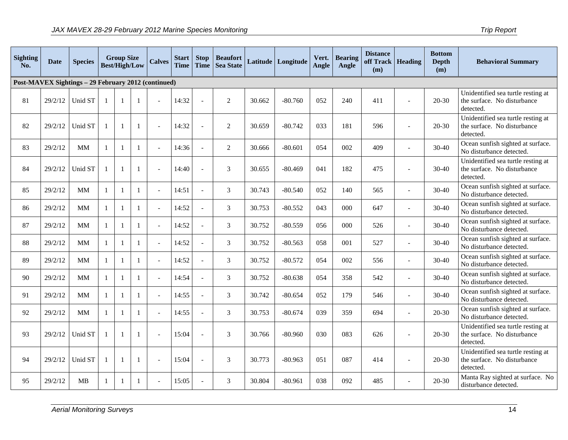| <b>Sighting</b><br>No. | <b>Date</b> | <b>Species</b>                                      |              | <b>Group Size</b><br>Best/High/Low |                | <b>Calves</b>  | <b>Start</b><br><b>Time</b> | <b>Stop</b><br><b>Time</b> | <b>Beaufort</b><br><b>Sea State</b> |        | Latitude   Longitude | Vert.<br>Angle | <b>Bearing</b><br>Angle | <b>Distance</b><br>off Track<br>(m) | <b>Heading</b>           | <b>Bottom</b><br><b>Depth</b><br>(m) | <b>Behavioral Summary</b>                                                      |
|------------------------|-------------|-----------------------------------------------------|--------------|------------------------------------|----------------|----------------|-----------------------------|----------------------------|-------------------------------------|--------|----------------------|----------------|-------------------------|-------------------------------------|--------------------------|--------------------------------------|--------------------------------------------------------------------------------|
|                        |             | Post-MAVEX Sightings - 29 February 2012 (continued) |              |                                    |                |                |                             |                            |                                     |        |                      |                |                         |                                     |                          |                                      |                                                                                |
| 81                     | 29/2/12     | Unid ST                                             |              | -1                                 |                |                | 14:32                       | $\overline{a}$             | $\overline{2}$                      | 30.662 | $-80.760$            | 052            | 240                     | 411                                 |                          | 20-30                                | Unidentified sea turtle resting at<br>the surface. No disturbance<br>detected. |
| 82                     | 29/2/12     | Unid ST                                             | $\mathbf{1}$ | $\mathbf{1}$                       | $\mathbf{1}$   |                | 14:32                       | $\overline{a}$             | $\overline{2}$                      | 30.659 | $-80.742$            | 033            | 181                     | 596                                 | $\blacksquare$           | $20 - 30$                            | Unidentified sea turtle resting at<br>the surface. No disturbance<br>detected. |
| 83                     | 29/2/12     | <b>MM</b>                                           | $\mathbf{1}$ | 1                                  |                | $\overline{a}$ | 14:36                       | $\overline{a}$             | $\overline{2}$                      | 30.666 | $-80.601$            | 054            | 002                     | 409                                 | $\blacksquare$           | $30 - 40$                            | Ocean sunfish sighted at surface.<br>No disturbance detected.                  |
| 84                     | 29/2/12     | Unid ST                                             | $\mathbf{1}$ | $\mathbf{1}$                       |                |                | 14:40                       | $\overline{a}$             | 3                                   | 30.655 | $-80.469$            | 041            | 182                     | 475                                 | $\sim$                   | $30 - 40$                            | Unidentified sea turtle resting at<br>the surface. No disturbance<br>detected. |
| 85                     | 29/2/12     | <b>MM</b>                                           | 1            | $\mathbf{1}$                       | $\mathbf{1}$   |                | 14:51                       | $\overline{a}$             | 3                                   | 30.743 | $-80.540$            | 052            | 140                     | 565                                 | $\overline{a}$           | $30 - 40$                            | Ocean sunfish sighted at surface.<br>No disturbance detected.                  |
| 86                     | 29/2/12     | <b>MM</b>                                           | $\mathbf{1}$ | $\mathbf{1}$                       |                |                | 14:52                       | $\overline{\phantom{a}}$   | 3                                   | 30.753 | $-80.552$            | 043            | 000                     | 647                                 |                          | $30 - 40$                            | Ocean sunfish sighted at surface.<br>No disturbance detected.                  |
| 87                     | 29/2/12     | <b>MM</b>                                           | $\mathbf{1}$ | $\mathbf{1}$                       |                | $\overline{a}$ | 14:52                       | $\overline{\phantom{a}}$   | 3                                   | 30.752 | $-80.559$            | 056            | 000                     | 526                                 | $\overline{a}$           | $30 - 40$                            | Ocean sunfish sighted at surface.<br>No disturbance detected.                  |
| 88                     | 29/2/12     | <b>MM</b>                                           | $\mathbf{1}$ | $\mathbf{1}$                       |                |                | 14:52                       | $\overline{a}$             | 3                                   | 30.752 | $-80.563$            | 058            | 001                     | 527                                 |                          | $30 - 40$                            | Ocean sunfish sighted at surface.<br>No disturbance detected.                  |
| 89                     | 29/2/12     | <b>MM</b>                                           | $\mathbf{1}$ | $\mathbf{1}$                       |                |                | 14:52                       | $\overline{a}$             | 3                                   | 30.752 | $-80.572$            | 054            | 002                     | 556                                 | $\overline{\phantom{a}}$ | $30 - 40$                            | Ocean sunfish sighted at surface.<br>No disturbance detected.                  |
| 90                     | 29/2/12     | <b>MM</b>                                           | $\mathbf{1}$ | -1                                 | $\mathbf{1}$   | $\sim$         | 14:54                       | $\overline{a}$             | 3                                   | 30.752 | $-80.638$            | 054            | 358                     | 542                                 | $\mathbf{r}$             | $30 - 40$                            | Ocean sunfish sighted at surface.<br>No disturbance detected.                  |
| 91                     | 29/2/12     | <b>MM</b>                                           | $\mathbf{1}$ | $\mathbf{1}$                       | $\mathbf{1}$   | $\overline{a}$ | 14:55                       | $\overline{a}$             | 3                                   | 30.742 | $-80.654$            | 052            | 179                     | 546                                 | $\blacksquare$           | $30 - 40$                            | Ocean sunfish sighted at surface.<br>No disturbance detected.                  |
| 92                     | 29/2/12     | <b>MM</b>                                           | $\mathbf{1}$ | $\mathbf{1}$                       |                |                | 14:55                       | $\overline{\phantom{a}}$   | 3                                   | 30.753 | $-80.674$            | 039            | 359                     | 694                                 | $\blacksquare$           | $20 - 30$                            | Ocean sunfish sighted at surface.<br>No disturbance detected.                  |
| 93                     | 29/2/12     | Unid ST                                             | $\mathbf{1}$ | $\mathbf{1}$                       | $\overline{1}$ |                | 15:04                       | $\omega$                   | 3                                   | 30.766 | $-80.960$            | 030            | 083                     | 626                                 | $\blacksquare$           | $20 - 30$                            | Unidentified sea turtle resting at<br>the surface. No disturbance<br>detected. |
| 94                     | 29/2/12     | Unid ST                                             | 1            | $\mathbf{1}$                       | -1             |                | 15:04                       | $\overline{\phantom{a}}$   | 3                                   | 30.773 | $-80.963$            | 051            | 087                     | 414                                 | $\blacksquare$           | $20 - 30$                            | Unidentified sea turtle resting at<br>the surface. No disturbance<br>detected. |
| 95                     | 29/2/12     | MB                                                  | 1            | $\mathbf{1}$                       |                |                | 15:05                       |                            | 3                                   | 30.804 | $-80.961$            | 038            | 092                     | 485                                 |                          | 20-30                                | Manta Ray sighted at surface. No<br>disturbance detected.                      |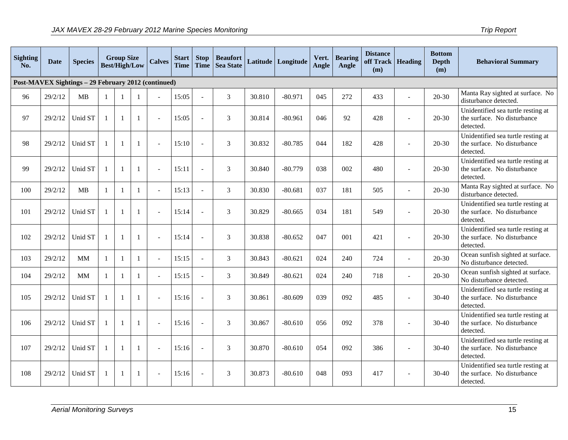| <b>Sighting</b><br>No. | <b>Date</b> | <b>Species</b>                                      | <b>Group Size</b><br>Best/High/Low |                | <b>Calves</b>  | <b>Start</b><br><b>Time</b> | <b>Stop</b><br><b>Time</b> | <b>Beaufort</b><br><b>Sea State</b> |        | Latitude   Longitude | Vert.<br>Angle | <b>Bearing</b><br>Angle | <b>Distance</b><br>off Track<br>(m) | <b>Heading</b>           | <b>Bottom</b><br><b>Depth</b><br>(m) | <b>Behavioral Summary</b>                                                      |
|------------------------|-------------|-----------------------------------------------------|------------------------------------|----------------|----------------|-----------------------------|----------------------------|-------------------------------------|--------|----------------------|----------------|-------------------------|-------------------------------------|--------------------------|--------------------------------------|--------------------------------------------------------------------------------|
|                        |             | Post-MAVEX Sightings - 29 February 2012 (continued) |                                    |                |                |                             |                            |                                     |        |                      |                |                         |                                     |                          |                                      |                                                                                |
| 96                     | 29/2/12     | <b>MB</b>                                           | $\mathbf{1}$                       |                | $\overline{a}$ | 15:05                       | $\overline{\phantom{a}}$   | 3                                   | 30.810 | $-80.971$            | 045            | 272                     | 433                                 |                          | $20 - 30$                            | Manta Ray sighted at surface. No<br>disturbance detected.                      |
| 97                     | 29/2/12     | Unid ST                                             | $\mathbf{1}$                       | $\mathbf{1}$   | $\overline{a}$ | 15:05                       | $\overline{a}$             | 3                                   | 30.814 | $-80.961$            | 046            | 92                      | 428                                 | $\overline{a}$           | $20 - 30$                            | Unidentified sea turtle resting at<br>the surface. No disturbance<br>detected. |
| 98                     | 29/2/12     | Unid ST                                             | $\mathbf{1}$                       | $\overline{1}$ | $\overline{a}$ | 15:10                       | $\overline{\phantom{a}}$   | 3                                   | 30.832 | $-80.785$            | 044            | 182                     | 428                                 | $\blacksquare$           | $20 - 30$                            | Unidentified sea turtle resting at<br>the surface. No disturbance<br>detected. |
| 99                     | 29/2/12     | Unid ST                                             | $\mathbf{1}$                       | $\mathbf{1}$   | $\sim$         | 15:11                       | $\equiv$                   | 3                                   | 30.840 | $-80.779$            | 038            | 002                     | 480                                 | $\blacksquare$           | $20 - 30$                            | Unidentified sea turtle resting at<br>the surface. No disturbance<br>detected. |
| 100                    | 29/2/12     | MB                                                  | $\mathbf{1}$                       | -1             | $\overline{a}$ | 15:13                       | $\overline{\phantom{a}}$   | 3                                   | 30.830 | $-80.681$            | 037            | 181                     | 505                                 | $\blacksquare$           | $20 - 30$                            | Manta Ray sighted at surface. No<br>disturbance detected.                      |
| 101                    | 29/2/12     | Unid ST                                             | $\mathbf{1}$                       | $\mathbf{1}$   | $\sim$         | 15:14                       | $\overline{\phantom{a}}$   | 3                                   | 30.829 | $-80.665$            | 034            | 181                     | 549                                 | $\overline{\phantom{a}}$ | 20-30                                | Unidentified sea turtle resting at<br>the surface. No disturbance<br>detected. |
| 102                    | 29/2/12     | Unid ST                                             | $\mathbf{1}$                       | $\mathbf{1}$   | $\overline{a}$ | 15:14                       | $\overline{a}$             | 3                                   | 30.838 | $-80.652$            | 047            | 001                     | 421                                 | $\blacksquare$           | $20 - 30$                            | Unidentified sea turtle resting at<br>the surface. No disturbance<br>detected. |
| 103                    | 29/2/12     | MM                                                  | $\mathbf{1}$                       |                | $\sim$         | 15:15                       | $\overline{a}$             | 3                                   | 30.843 | $-80.621$            | 024            | 240                     | 724                                 | $\sim$                   | $20 - 30$                            | Ocean sunfish sighted at surface.<br>No disturbance detected.                  |
| 104                    | 29/2/12     | <b>MM</b>                                           | $\mathbf{1}$                       |                | $\overline{a}$ | 15:15                       | $\blacksquare$             | 3                                   | 30.849 | $-80.621$            | 024            | 240                     | 718                                 | $\blacksquare$           | $20 - 30$                            | Ocean sunfish sighted at surface.<br>No disturbance detected.                  |
| 105                    | 29/2/12     | Unid ST                                             | $\mathbf{1}$                       | -1             | $\overline{a}$ | 15:16                       | $\overline{\phantom{a}}$   | 3                                   | 30.861 | $-80.609$            | 039            | 092                     | 485                                 | $\blacksquare$           | $30-40$                              | Unidentified sea turtle resting at<br>the surface. No disturbance<br>detected. |
| 106                    | 29/2/12     | Unid ST                                             | $\mathbf{1}$                       | $\mathbf{1}$   | $\overline{a}$ | 15:16                       | $\omega$                   | 3                                   | 30.867 | $-80.610$            | 056            | 092                     | 378                                 | $\blacksquare$           | $30 - 40$                            | Unidentified sea turtle resting at<br>the surface. No disturbance<br>detected. |
| 107                    | 29/2/12     | Unid ST                                             | $\mathbf{1}$                       | -1             | $\sim$         | 15:16                       | $\omega$                   | 3                                   | 30.870 | $-80.610$            | 054            | 092                     | 386                                 | $\overline{\phantom{a}}$ | 30-40                                | Unidentified sea turtle resting at<br>the surface. No disturbance<br>detected. |
| 108                    | 29/2/12     | Unid ST                                             | $\mathbf{1}$                       |                | $\sim$         | 15:16                       | $\overline{\phantom{a}}$   | 3                                   | 30.873 | $-80.610$            | 048            | 093                     | 417                                 | $\overline{\phantom{a}}$ | $30 - 40$                            | Unidentified sea turtle resting at<br>the surface. No disturbance<br>detected. |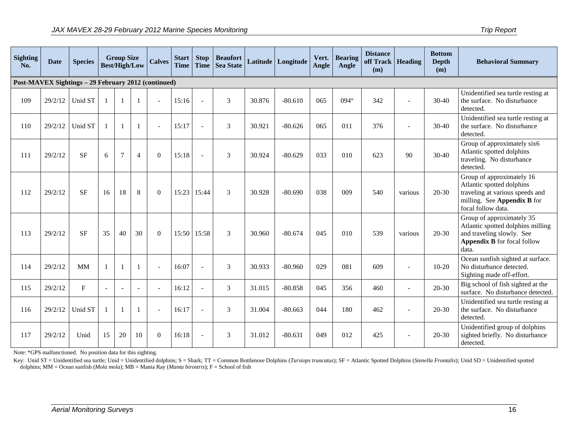| Sighting<br>No. | <b>Date</b> | <b>Species</b>                                      |                | <b>Group Size</b><br>Best/High/Low |                | <b>Calves</b>            | <b>Start</b><br><b>Time</b> | <b>Stop</b><br><b>Time</b> | <b>Beaufort</b><br><b>Sea State</b> |        | Latitude   Longitude | Vert.<br>Angle | <b>Bearing</b><br>Angle | <b>Distance</b><br>off Track   Heading<br>(m) |                          | <b>Bottom</b><br><b>Depth</b><br>(m) | <b>Behavioral Summary</b>                                                                                                                      |
|-----------------|-------------|-----------------------------------------------------|----------------|------------------------------------|----------------|--------------------------|-----------------------------|----------------------------|-------------------------------------|--------|----------------------|----------------|-------------------------|-----------------------------------------------|--------------------------|--------------------------------------|------------------------------------------------------------------------------------------------------------------------------------------------|
|                 |             | Post-MAVEX Sightings - 29 February 2012 (continued) |                |                                    |                |                          |                             |                            |                                     |        |                      |                |                         |                                               |                          |                                      |                                                                                                                                                |
| 109             | 29/2/12     | Unid ST                                             |                | $\mathbf{1}$                       |                | $\overline{a}$           | 15:16                       | $\overline{a}$             | 3                                   | 30.876 | $-80.610$            | 065            | $094^\circ$             | 342                                           | $\blacksquare$           | $30-40$                              | Unidentified sea turtle resting at<br>the surface. No disturbance<br>detected.                                                                 |
| 110             | 29/2/12     | Unid ST                                             |                | $\mathbf{1}$                       | $\mathbf{1}$   | $\overline{a}$           | 15:17                       | $\overline{a}$             | 3                                   | 30.921 | $-80.626$            | 065            | 011                     | 376                                           | $\blacksquare$           | $30 - 40$                            | Unidentified sea turtle resting at<br>the surface. No disturbance<br>detected.                                                                 |
| 111             | 29/2/12     | <b>SF</b>                                           | 6              | $\overline{7}$                     | $\overline{4}$ | $\Omega$                 | 15:18                       | $\overline{a}$             | 3                                   | 30.924 | $-80.629$            | 033            | 010                     | 623                                           | 90                       | $30 - 40$                            | Group of approximately six6<br>Atlantic spotted dolphins<br>traveling. No disturbance<br>detected.                                             |
| 112             | 29/2/12     | <b>SF</b>                                           | 16             | 18                                 | 8              | $\theta$                 | 15:23                       | 15:44                      | 3                                   | 30.928 | $-80.690$            | 038            | 009                     | 540                                           | various                  | $20 - 30$                            | Group of approximately 16<br>Atlantic spotted dolphins<br>traveling at various speeds and<br>milling. See Appendix B for<br>focal follow data. |
| 113             | 29/2/12     | <b>SF</b>                                           | 35             | 40                                 | 30             | $\Omega$                 | 15:50                       | 15:58                      | 3                                   | 30.960 | $-80.674$            | 045            | 010                     | 539                                           | various                  | $20 - 30$                            | Group of approximately 35<br>Atlantic spotted dolphins milling<br>and traveling slowly. See<br>Appendix B for focal follow<br>data.            |
| 114             | 29/2/12     | <b>MM</b>                                           |                | $\mathbf{1}$                       | $\mathbf{1}$   | $\sim$                   | 16:07                       | $\sim$                     | 3                                   | 30.933 | $-80.960$            | 029            | 081                     | 609                                           | $\overline{a}$           | $10-20$                              | Ocean sunfish sighted at surface.<br>No disturbance detected.<br>Sighting made off-effort.                                                     |
| 115             | 29/2/12     | $F_{\rm}$                                           | $\blacksquare$ | $\sim$                             | $\sim$         | $\overline{\phantom{a}}$ | 16:12                       | $\mathbf{r}$               | 3                                   | 31.015 | $-80.858$            | 045            | 356                     | 460                                           | $\blacksquare$           | $20 - 30$                            | Big school of fish sighted at the<br>surface. No disturbance detected.                                                                         |
| 116             | 29/2/12     | Unid ST                                             |                | $\mathbf{1}$                       |                | $\overline{a}$           | 16:17                       |                            | 3                                   | 31.004 | $-80.663$            | 044            | 180                     | 462                                           | $\overline{\phantom{a}}$ | $20 - 30$                            | Unidentified sea turtle resting at<br>the surface. No disturbance<br>detected.                                                                 |
| 117             | 29/2/12     | Unid                                                | 15             | 20                                 | 10             | $\boldsymbol{0}$         | 16:18                       |                            | 3                                   | 31.012 | $-80.631$            | 049            | 012                     | 425                                           |                          | $20 - 30$                            | Unidentified group of dolphins<br>sighted briefly. No disturbance<br>detected.                                                                 |

Note: \*GPS malfunctioned. No position data for this sighting.

Key: Unid ST = Unidentified sea turtle; Unid = Unidentified dolphins; S = Shark; TT = Common Bottlenose Dolphins (Tursiops truncatus); SF = Atlantic Spotted Dolphins (Stenella Frontalis); Unid SD = Unidentified spotted dolphins; MM = Ocean sunfish (*Mola mola*); MB = Manta Ray (*Manta birostris*); F = School of fish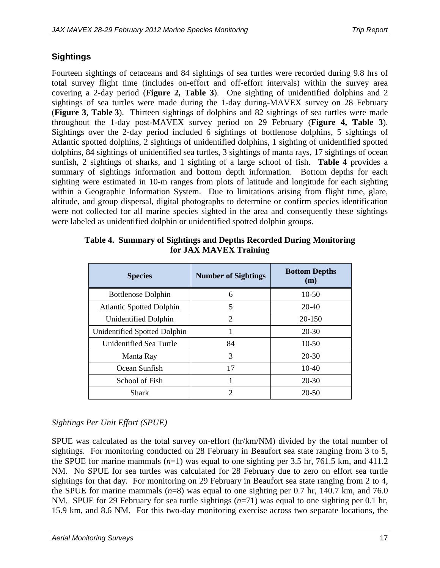#### **Sightings**

Fourteen sightings of cetaceans and 84 sightings of sea turtles were recorded during 9.8 hrs of total survey flight time (includes on-effort and off-effort intervals) within the survey area covering a 2-day period (**Figure 2, Table 3**). One sighting of unidentified dolphins and 2 sightings of sea turtles were made during the 1-day during-MAVEX survey on 28 February (**Figure 3**, **Table 3**). Thirteen sightings of dolphins and 82 sightings of sea turtles were made throughout the 1-day post-MAVEX survey period on 29 February (**Figure 4, Table 3**). Sightings over the 2-day period included 6 sightings of bottlenose dolphins, 5 sightings of Atlantic spotted dolphins, 2 sightings of unidentified dolphins, 1 sighting of unidentified spotted dolphins, 84 sightings of unidentified sea turtles, 3 sightings of manta rays, 17 sightings of ocean sunfish, 2 sightings of sharks, and 1 sighting of a large school of fish. **Table 4** provides a summary of sightings information and bottom depth information. Bottom depths for each sighting were estimated in 10-m ranges from plots of latitude and longitude for each sighting within a Geographic Information System. Due to limitations arising from flight time, glare, altitude, and group dispersal, digital photographs to determine or confirm species identification were not collected for all marine species sighted in the area and consequently these sightings were labeled as unidentified dolphin or unidentified spotted dolphin groups.

| <b>Species</b>                      | <b>Number of Sightings</b> | <b>Bottom Depths</b><br>(m) |
|-------------------------------------|----------------------------|-----------------------------|
| <b>Bottlenose Dolphin</b>           | 6                          | $10-50$                     |
| <b>Atlantic Spotted Dolphin</b>     | 5                          | $20-40$                     |
| Unidentified Dolphin                | $\overline{2}$             | $20 - 150$                  |
| <b>Unidentified Spotted Dolphin</b> | 1                          | $20 - 30$                   |
| Unidentified Sea Turtle             | 84                         | $10-50$                     |
| Manta Ray                           | 3                          | $20 - 30$                   |
| Ocean Sunfish                       | 17                         | $10-40$                     |
| School of Fish                      |                            | $20 - 30$                   |
| Shark                               | $\mathcal{P}$              | $20 - 50$                   |

<span id="page-20-0"></span>**Table 4. Summary of Sightings and Depths Recorded During Monitoring for JAX MAVEX Training**

#### *Sightings Per Unit Effort (SPUE)*

SPUE was calculated as the total survey on-effort (hr/km/NM) divided by the total number of sightings. For monitoring conducted on 28 February in Beaufort sea state ranging from 3 to 5, the SPUE for marine mammals  $(n=1)$  was equal to one sighting per 3.5 hr, 761.5 km, and 411.2 NM. No SPUE for sea turtles was calculated for 28 February due to zero on effort sea turtle sightings for that day. For monitoring on 29 February in Beaufort sea state ranging from 2 to 4, the SPUE for marine mammals  $(n=8)$  was equal to one sighting per 0.7 hr, 140.7 km, and 76.0 NM. SPUE for 29 February for sea turtle sightings (*n*=71) was equal to one sighting per 0.1 hr, 15.9 km, and 8.6 NM. For this two-day monitoring exercise across two separate locations, the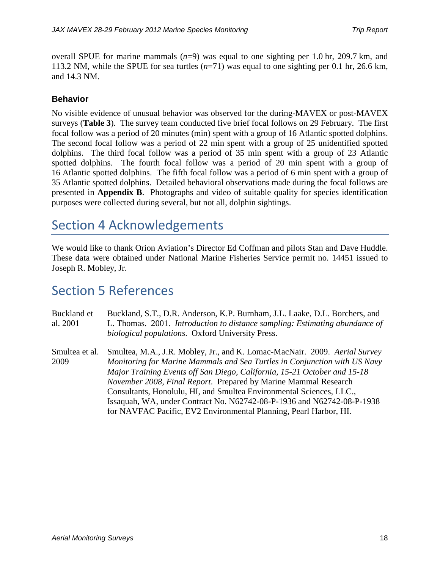overall SPUE for marine mammals  $(n=9)$  was equal to one sighting per 1.0 hr, 209.7 km, and 113.2 NM, while the SPUE for sea turtles (*n*=71) was equal to one sighting per 0.1 hr, 26.6 km, and 14.3 NM.

#### **Behavior**

No visible evidence of unusual behavior was observed for the during-MAVEX or post-MAVEX surveys (**Table 3**). The survey team conducted five brief focal follows on 29 February. The first focal follow was a period of 20 minutes (min) spent with a group of 16 Atlantic spotted dolphins. The second focal follow was a period of 22 min spent with a group of 25 unidentified spotted dolphins. The third focal follow was a period of 35 min spent with a group of 23 Atlantic spotted dolphins. The fourth focal follow was a period of 20 min spent with a group of 16 Atlantic spotted dolphins. The fifth focal follow was a period of 6 min spent with a group of 35 Atlantic spotted dolphins. Detailed behavioral observations made during the focal follows are presented in **Appendix B**. Photographs and video of suitable quality for species identification purposes were collected during several, but not all, dolphin sightings.

### <span id="page-21-0"></span>Section 4 Acknowledgements

We would like to thank Orion Aviation's Director Ed Coffman and pilots Stan and Dave Huddle. These data were obtained under National Marine Fisheries Service permit no. 14451 issued to Joseph R. Mobley, Jr.

### <span id="page-21-1"></span>Section 5 References

| Buckland et<br>al. 2001 | Buckland, S.T., D.R. Anderson, K.P. Burnham, J.L. Laake, D.L. Borchers, and<br>L. Thomas. 2001. <i>Introduction to distance sampling: Estimating abundance of</i><br><i>biological populations.</i> Oxford University Press.                                                                                                                                                                                                                                                                                                  |
|-------------------------|-------------------------------------------------------------------------------------------------------------------------------------------------------------------------------------------------------------------------------------------------------------------------------------------------------------------------------------------------------------------------------------------------------------------------------------------------------------------------------------------------------------------------------|
| Smultea et al.<br>2009  | Smultea, M.A., J.R. Mobley, Jr., and K. Lomac-MacNair. 2009. Aerial Survey<br>Monitoring for Marine Mammals and Sea Turtles in Conjunction with US Navy<br>Major Training Events off San Diego, California, 15-21 October and 15-18<br>November 2008, Final Report. Prepared by Marine Mammal Research<br>Consultants, Honolulu, HI, and Smultea Environmental Sciences, LLC.,<br>Issaquah, WA, under Contract No. N62742-08-P-1936 and N62742-08-P-1938<br>for NAVFAC Pacific, EV2 Environmental Planning, Pearl Harbor, HI. |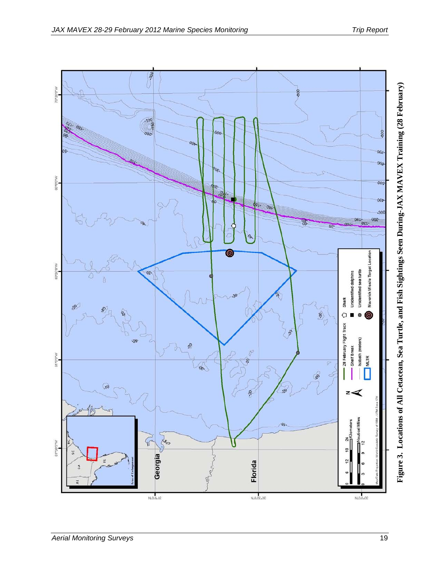<span id="page-22-0"></span>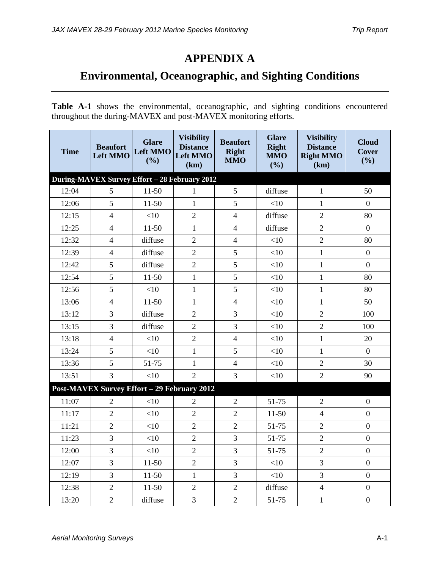### **APPENDIX A**

### <span id="page-24-0"></span>**Environmental, Oceanographic, and Sighting Conditions**

Table A-1 shows the environmental, oceanographic, and sighting conditions encountered throughout the during-MAVEX and post-MAVEX monitoring efforts.

| <b>Time</b> | <b>Beaufort</b><br><b>Left MMO</b> | <b>Glare</b><br><b>Left MMO</b><br>(%)             | <b>Visibility</b><br><b>Distance</b><br><b>Left MMO</b><br>(km) | <b>Beaufort</b><br><b>Right</b><br><b>MMO</b> | <b>Glare</b><br><b>Right</b><br><b>MMO</b><br>(%) | <b>Visibility</b><br><b>Distance</b><br><b>Right MMO</b><br>(km) | <b>Cloud</b><br>Cover<br>(%) |
|-------------|------------------------------------|----------------------------------------------------|-----------------------------------------------------------------|-----------------------------------------------|---------------------------------------------------|------------------------------------------------------------------|------------------------------|
|             |                                    | During-MAVEX Survey Effort - 28 February 2012      |                                                                 |                                               |                                                   |                                                                  |                              |
| 12:04       | 5                                  | $11-50$                                            | $\mathbf{1}$                                                    | 5                                             | diffuse                                           | $\mathbf{1}$                                                     | 50                           |
| 12:06       | 5                                  | $11 - 50$                                          | $\mathbf{1}$                                                    | 5                                             | $<$ 10                                            | $\mathbf{1}$                                                     | $\overline{0}$               |
| 12:15       | $\overline{4}$                     | <10                                                | $\overline{2}$                                                  | $\overline{4}$                                | diffuse                                           | $\overline{2}$                                                   | 80                           |
| 12:25       | 4                                  | $11 - 50$                                          | 1                                                               | 4                                             | diffuse                                           | $\overline{2}$                                                   | $\theta$                     |
| 12:32       | $\overline{4}$                     | diffuse                                            | $\overline{2}$                                                  | $\overline{4}$                                | <10                                               | $\overline{2}$                                                   | 80                           |
| 12:39       | $\overline{4}$                     | diffuse                                            | $\overline{2}$                                                  | 5                                             | $<$ 10                                            | $\mathbf{1}$                                                     | $\boldsymbol{0}$             |
| 12:42       | 5                                  | diffuse                                            | $\overline{2}$                                                  | 5                                             | $<$ 10                                            | $\mathbf{1}$                                                     | $\overline{0}$               |
| 12:54       | 5                                  | $11 - 50$                                          | $\mathbf{1}$                                                    | 5                                             | $<$ 10                                            | $\mathbf{1}$                                                     | 80                           |
| 12:56       | 5                                  | <10                                                | $\mathbf{1}$                                                    | 5                                             | <10                                               | $\mathbf{1}$                                                     | 80                           |
| 13:06       | $\overline{4}$                     | $11 - 50$                                          | $\mathbf{1}$                                                    | $\overline{4}$                                | $<$ 10                                            | $\mathbf{1}$                                                     | 50                           |
| 13:12       | 3                                  | diffuse                                            | $\overline{2}$                                                  | 3                                             | $<$ 10                                            | $\overline{2}$                                                   | 100                          |
| 13:15       | 3                                  | diffuse                                            | $\overline{2}$                                                  | 3                                             | $<$ 10                                            | $\overline{2}$                                                   | 100                          |
| 13:18       | 4                                  | <10                                                | $\overline{2}$                                                  | 4                                             | $<$ 10                                            | $\mathbf{1}$                                                     | 20                           |
| 13:24       | 5                                  | <10                                                | $\mathbf{1}$                                                    | 5                                             | $<$ 10                                            | $\mathbf{1}$                                                     | $\mathbf{0}$                 |
| 13:36       | 5                                  | 51-75                                              | $\mathbf{1}$                                                    | $\overline{4}$                                | $<$ 10                                            | $\overline{2}$                                                   | 30                           |
| 13:51       | 3                                  | <10                                                | $\overline{2}$                                                  | $\overline{3}$                                | <10                                               | $\overline{2}$                                                   | 90                           |
|             |                                    | <b>Post-MAVEX Survey Effort - 29 February 2012</b> |                                                                 |                                               |                                                   |                                                                  |                              |
| 11:07       | $\overline{2}$                     | <10                                                | $\overline{2}$                                                  | $\overline{2}$                                | 51-75                                             | $\sqrt{2}$                                                       | $\boldsymbol{0}$             |
| 11:17       | $\overline{2}$                     | <10                                                | $\overline{2}$                                                  | $\overline{2}$                                | $11-50$                                           | $\overline{4}$                                                   | $\overline{0}$               |
| 11:21       | $\overline{2}$                     | <10                                                | $\overline{2}$                                                  | $\overline{2}$                                | 51-75                                             | $\overline{2}$                                                   | $\boldsymbol{0}$             |
| 11:23       | 3                                  | <10                                                | $\overline{2}$                                                  | 3                                             | 51-75                                             | $\overline{2}$                                                   | $\boldsymbol{0}$             |
| 12:00       | 3                                  | <10                                                | $\overline{2}$                                                  | 3                                             | 51-75                                             | $\overline{2}$                                                   | $\boldsymbol{0}$             |
| 12:07       | 3                                  | $11 - 50$                                          | $\overline{2}$                                                  | 3                                             | $<$ 10                                            | 3                                                                | $\overline{0}$               |
| 12:19       | $\overline{3}$                     | $11 - 50$                                          | $\mathbf{1}$                                                    | $\overline{3}$                                | $<$ 10                                            | 3                                                                | $\boldsymbol{0}$             |
| 12:38       | $\overline{2}$                     | $11 - 50$                                          | $\sqrt{2}$                                                      | $\overline{2}$                                | diffuse                                           | $\overline{4}$                                                   | $\boldsymbol{0}$             |
| 13:20       | $\overline{2}$                     | diffuse                                            | 3                                                               | $\overline{2}$                                | 51-75                                             | $\mathbf{1}$                                                     | $\boldsymbol{0}$             |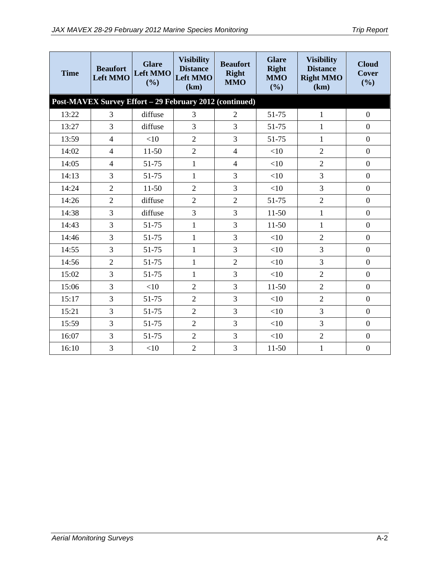| <b>Time</b> | <b>Beaufort</b><br><b>Left MMO</b> | <b>Glare</b><br><b>Left MMO</b><br>(%)                  | <b>Visibility</b><br><b>Distance</b><br><b>Left MMO</b><br>(km) | <b>Beaufort</b><br><b>Right</b><br><b>MMO</b> | <b>Glare</b><br><b>Right</b><br><b>MMO</b><br>(%) | <b>Visibility</b><br><b>Distance</b><br><b>Right MMO</b><br>(km) | <b>Cloud</b><br><b>Cover</b><br>(%) |
|-------------|------------------------------------|---------------------------------------------------------|-----------------------------------------------------------------|-----------------------------------------------|---------------------------------------------------|------------------------------------------------------------------|-------------------------------------|
|             |                                    | Post-MAVEX Survey Effort - 29 February 2012 (continued) |                                                                 |                                               |                                                   |                                                                  |                                     |
| 13:22       | 3                                  | diffuse                                                 | 3                                                               | $\overline{2}$                                | 51-75                                             | $\mathbf{1}$                                                     | $\overline{0}$                      |
| 13:27       | 3                                  | diffuse                                                 | $\overline{3}$                                                  | $\overline{3}$                                | 51-75                                             | $\mathbf{1}$                                                     | $\overline{0}$                      |
| 13:59       | $\overline{4}$                     | <10                                                     | $\overline{2}$                                                  | $\overline{3}$                                | 51-75                                             | $\mathbf{1}$                                                     | $\mathbf{0}$                        |
| 14:02       | $\overline{4}$                     | $11 - 50$                                               | $\overline{2}$                                                  | $\overline{4}$                                | $<$ 10                                            | $\overline{2}$                                                   | $\boldsymbol{0}$                    |
| 14:05       | $\overline{4}$                     | 51-75                                                   | $\mathbf{1}$                                                    | $\overline{4}$                                | $<$ 10                                            | $\overline{2}$                                                   | $\overline{0}$                      |
| 14:13       | 3                                  | 51-75                                                   | 1                                                               | $\overline{3}$                                | $<$ 10                                            | 3                                                                | $\overline{0}$                      |
| 14:24       | $\overline{2}$                     | $11-50$                                                 | $\overline{2}$                                                  | $\overline{3}$                                | $<$ 10                                            | 3                                                                | $\mathbf{0}$                        |
| 14:26       | $\overline{2}$                     | diffuse                                                 | $\overline{2}$                                                  | $\overline{2}$                                | 51-75                                             | $\overline{2}$                                                   | $\overline{0}$                      |
| 14:38       | 3                                  | diffuse                                                 | 3                                                               | 3                                             | $11-50$                                           | $\mathbf{1}$                                                     | $\boldsymbol{0}$                    |
| 14:43       | $\overline{3}$                     | 51-75                                                   | $\mathbf{1}$                                                    | $\overline{3}$                                | $11-50$                                           | $\mathbf{1}$                                                     | $\boldsymbol{0}$                    |
| 14:46       | 3                                  | 51-75                                                   | $\mathbf{1}$                                                    | 3                                             | $<$ 10                                            | $\overline{2}$                                                   | $\mathbf{0}$                        |
| 14:55       | 3                                  | 51-75                                                   | $\mathbf{1}$                                                    | 3                                             | $<$ 10                                            | 3                                                                | $\boldsymbol{0}$                    |
| 14:56       | $\overline{2}$                     | 51-75                                                   | $\mathbf{1}$                                                    | $\overline{2}$                                | <10                                               | $\overline{3}$                                                   | $\mathbf{0}$                        |
| 15:02       | 3                                  | 51-75                                                   | $\mathbf{1}$                                                    | 3                                             | $<$ 10                                            | $\overline{2}$                                                   | $\overline{0}$                      |
| 15:06       | 3                                  | <10                                                     | $\overline{2}$                                                  | 3                                             | $11-50$                                           | $\overline{2}$                                                   | $\boldsymbol{0}$                    |
| 15:17       | 3                                  | 51-75                                                   | $\overline{2}$                                                  | $\overline{3}$                                | <10                                               | $\overline{2}$                                                   | $\overline{0}$                      |
| 15:21       | 3                                  | 51-75                                                   | $\overline{2}$                                                  | 3                                             | $<$ 10                                            | 3                                                                | $\overline{0}$                      |
| 15:59       | $\overline{3}$                     | 51-75                                                   | $\overline{2}$                                                  | $\overline{3}$                                | $<$ 10                                            | $\overline{3}$                                                   | $\mathbf{0}$                        |
| 16:07       | $\overline{3}$                     | 51-75                                                   | $\overline{2}$                                                  | $\overline{3}$                                | <10                                               | $\overline{2}$                                                   | $\mathbf{0}$                        |
| 16:10       | $\overline{3}$                     | <10                                                     | $\overline{2}$                                                  | 3                                             | $11 - 50$                                         | $\mathbf{1}$                                                     | $\boldsymbol{0}$                    |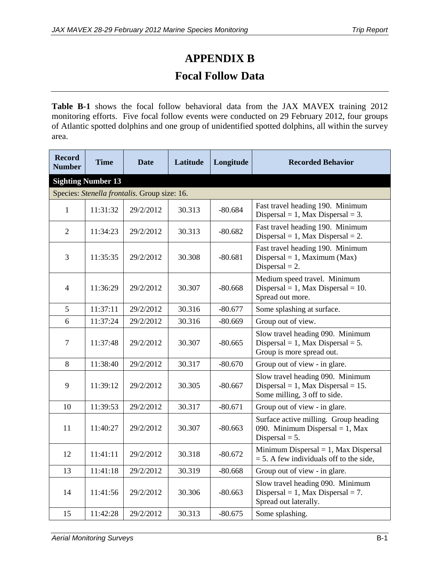### **APPENDIX B**

### **Focal Follow Data**

<span id="page-26-0"></span>**Table B-1** shows the focal follow behavioral data from the JAX MAVEX training 2012 monitoring efforts. Five focal follow events were conducted on 29 February 2012, four groups of Atlantic spotted dolphins and one group of unidentified spotted dolphins, all within the survey area.

| <b>Record</b><br><b>Number</b> | <b>Time</b>               | <b>Date</b>                                  | Latitude | Longitude | <b>Recorded Behavior</b>                                                                               |
|--------------------------------|---------------------------|----------------------------------------------|----------|-----------|--------------------------------------------------------------------------------------------------------|
|                                | <b>Sighting Number 13</b> |                                              |          |           |                                                                                                        |
|                                |                           | Species: Stenella frontalis. Group size: 16. |          |           |                                                                                                        |
| $\mathbf{1}$                   | 11:31:32                  | 29/2/2012                                    | 30.313   | $-80.684$ | Fast travel heading 190. Minimum<br>Dispersal = 1, Max Dispersal = 3.                                  |
| $\overline{2}$                 | 11:34:23                  | 29/2/2012                                    | 30.313   | $-80.682$ | Fast travel heading 190. Minimum<br>Dispersal = 1, Max Dispersal = 2.                                  |
| 3                              | 11:35:35                  | 29/2/2012                                    | 30.308   | $-80.681$ | Fast travel heading 190. Minimum<br>Dispersal = 1, Maximum (Max)<br>Dispersal $= 2$ .                  |
| $\overline{4}$                 | 11:36:29                  | 29/2/2012                                    | 30.307   | $-80.668$ | Medium speed travel. Minimum<br>Dispersal = 1, Max Dispersal = 10.<br>Spread out more.                 |
| 5                              | 11:37:11                  | 29/2/2012                                    | 30.316   | $-80.677$ | Some splashing at surface.                                                                             |
| 6                              | 11:37:24                  | 29/2/2012                                    | 30.316   | $-80.669$ | Group out of view.                                                                                     |
| $\tau$                         | 11:37:48                  | 29/2/2012                                    | 30.307   | $-80.665$ | Slow travel heading 090. Minimum<br>Dispersal = 1, Max Dispersal = 5.<br>Group is more spread out.     |
| 8                              | 11:38:40                  | 29/2/2012                                    | 30.317   | $-80.670$ | Group out of view - in glare.                                                                          |
| 9                              | 11:39:12                  | 29/2/2012                                    | 30.305   | $-80.667$ | Slow travel heading 090. Minimum<br>Dispersal = 1, Max Dispersal = 15.<br>Some milling, 3 off to side. |
| 10                             | 11:39:53                  | 29/2/2012                                    | 30.317   | $-80.671$ | Group out of view - in glare.                                                                          |
| 11                             | 11:40:27                  | 29/2/2012                                    | 30.307   | $-80.663$ | Surface active milling. Group heading<br>090. Minimum Dispersal = 1, Max<br>Dispersal $= 5$ .          |
| 12                             | 11:41:11                  | 29/2/2012                                    | 30.318   | $-80.672$ | Minimum Dispersal $= 1$ , Max Dispersal<br>$=$ 5. A few individuals off to the side,                   |
| 13                             | 11:41:18                  | 29/2/2012                                    | 30.319   | $-80.668$ | Group out of view - in glare.                                                                          |
| 14                             | 11:41:56                  | 29/2/2012                                    | 30.306   | $-80.663$ | Slow travel heading 090. Minimum<br>Dispersal = 1, Max Dispersal = 7.<br>Spread out laterally.         |
| 15                             | 11:42:28                  | 29/2/2012                                    | 30.313   | $-80.675$ | Some splashing.                                                                                        |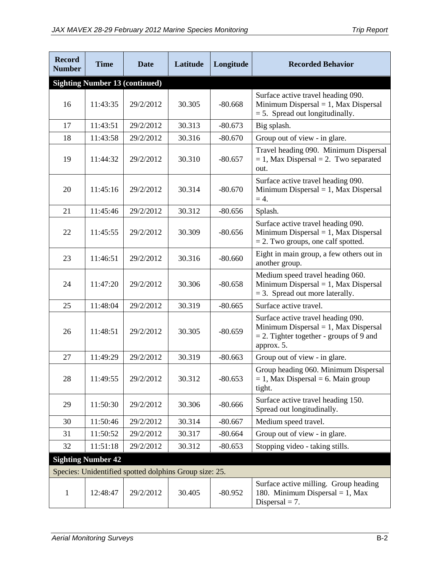| <b>Record</b><br><b>Number</b>                         | <b>Time</b> | <b>Date</b> | Latitude | Longitude | <b>Recorded Behavior</b>                                                                                                                  |  |  |  |
|--------------------------------------------------------|-------------|-------------|----------|-----------|-------------------------------------------------------------------------------------------------------------------------------------------|--|--|--|
| <b>Sighting Number 13 (continued)</b>                  |             |             |          |           |                                                                                                                                           |  |  |  |
| 16                                                     | 11:43:35    | 29/2/2012   | 30.305   | $-80.668$ | Surface active travel heading 090.<br>Minimum Dispersal $= 1$ , Max Dispersal<br>$= 5$ . Spread out longitudinally.                       |  |  |  |
| 17                                                     | 11:43:51    | 29/2/2012   | 30.313   | $-80.673$ | Big splash.                                                                                                                               |  |  |  |
| 18                                                     | 11:43:58    | 29/2/2012   | 30.316   | $-80.670$ | Group out of view - in glare.                                                                                                             |  |  |  |
| 19                                                     | 11:44:32    | 29/2/2012   | 30.310   | $-80.657$ | Travel heading 090. Minimum Dispersal<br>$= 1$ , Max Dispersal $= 2$ . Two separated<br>out.                                              |  |  |  |
| 20                                                     | 11:45:16    | 29/2/2012   | 30.314   | $-80.670$ | Surface active travel heading 090.<br>Minimum Dispersal $= 1$ , Max Dispersal<br>$=4.$                                                    |  |  |  |
| 21                                                     | 11:45:46    | 29/2/2012   | 30.312   | $-80.656$ | Splash.                                                                                                                                   |  |  |  |
| 22                                                     | 11:45:55    | 29/2/2012   | 30.309   | $-80.656$ | Surface active travel heading 090.<br>Minimum Dispersal $= 1$ , Max Dispersal<br>$= 2$ . Two groups, one calf spotted.                    |  |  |  |
| 23                                                     | 11:46:51    | 29/2/2012   | 30.316   | $-80.660$ | Eight in main group, a few others out in<br>another group.                                                                                |  |  |  |
| 24                                                     | 11:47:20    | 29/2/2012   | 30.306   | $-80.658$ | Medium speed travel heading 060.<br>Minimum Dispersal $= 1$ , Max Dispersal<br>$=$ 3. Spread out more laterally.                          |  |  |  |
| 25                                                     | 11:48:04    | 29/2/2012   | 30.319   | $-80.665$ | Surface active travel.                                                                                                                    |  |  |  |
| 26                                                     | 11:48:51    | 29/2/2012   | 30.305   | $-80.659$ | Surface active travel heading 090.<br>Minimum Dispersal $= 1$ , Max Dispersal<br>$= 2$ . Tighter together - groups of 9 and<br>approx. 5. |  |  |  |
| 27                                                     | 11:49:29    | 29/2/2012   | 30.319   | $-80.663$ | Group out of view - in glare.                                                                                                             |  |  |  |
| 28                                                     | 11:49:55    | 29/2/2012   | 30.312   | $-80.653$ | Group heading 060. Minimum Dispersal<br>$= 1$ , Max Dispersal $= 6$ . Main group<br>tight.                                                |  |  |  |
| 29                                                     | 11:50:30    | 29/2/2012   | 30.306   | $-80.666$ | Surface active travel heading 150.<br>Spread out longitudinally.                                                                          |  |  |  |
| 30                                                     | 11:50:46    | 29/2/2012   | 30.314   | $-80.667$ | Medium speed travel.                                                                                                                      |  |  |  |
| 31                                                     | 11:50:52    | 29/2/2012   | 30.317   | $-80.664$ | Group out of view - in glare.                                                                                                             |  |  |  |
| 32                                                     | 11:51:18    | 29/2/2012   | 30.312   | $-80.653$ | Stopping video - taking stills.                                                                                                           |  |  |  |
| <b>Sighting Number 42</b>                              |             |             |          |           |                                                                                                                                           |  |  |  |
| Species: Unidentified spotted dolphins Group size: 25. |             |             |          |           |                                                                                                                                           |  |  |  |
| $\mathbf{1}$                                           | 12:48:47    | 29/2/2012   | 30.405   | $-80.952$ | Surface active milling. Group heading<br>180. Minimum Dispersal = 1, Max<br>Dispersal $= 7$ .                                             |  |  |  |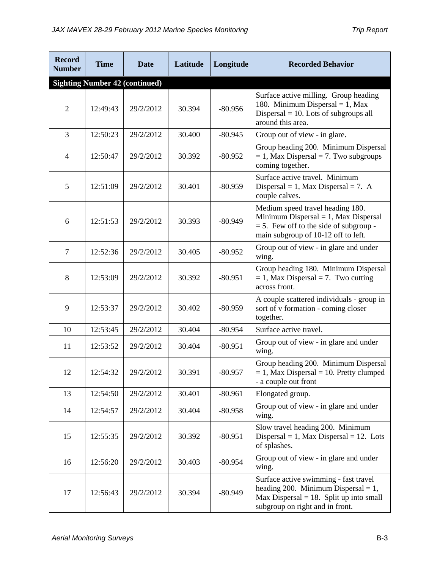| <b>Record</b><br><b>Number</b> | <b>Time</b> | <b>Date</b>                           | Latitude | Longitude | <b>Recorded Behavior</b>                                                                                                                                         |
|--------------------------------|-------------|---------------------------------------|----------|-----------|------------------------------------------------------------------------------------------------------------------------------------------------------------------|
|                                |             | <b>Sighting Number 42 (continued)</b> |          |           |                                                                                                                                                                  |
| $\overline{2}$                 | 12:49:43    | 29/2/2012                             | 30.394   | $-80.956$ | Surface active milling. Group heading<br>180. Minimum Dispersal = 1, Max<br>Dispersal $= 10$ . Lots of subgroups all<br>around this area.                        |
| 3                              | 12:50:23    | 29/2/2012                             | 30.400   | $-80.945$ | Group out of view - in glare.                                                                                                                                    |
| 4                              | 12:50:47    | 29/2/2012                             | 30.392   | $-80.952$ | Group heading 200. Minimum Dispersal<br>$= 1$ , Max Dispersal $= 7$ . Two subgroups<br>coming together.                                                          |
| 5                              | 12:51:09    | 29/2/2012                             | 30.401   | $-80.959$ | Surface active travel. Minimum<br>Dispersal = 1, Max Dispersal = 7. A<br>couple calves.                                                                          |
| 6                              | 12:51:53    | 29/2/2012                             | 30.393   | $-80.949$ | Medium speed travel heading 180.<br>Minimum Dispersal $= 1$ , Max Dispersal<br>$= 5$ . Few off to the side of subgroup -<br>main subgroup of 10-12 off to left.  |
| 7                              | 12:52:36    | 29/2/2012                             | 30.405   | $-80.952$ | Group out of view - in glare and under<br>wing.                                                                                                                  |
| 8                              | 12:53:09    | 29/2/2012                             | 30.392   | $-80.951$ | Group heading 180. Minimum Dispersal<br>$= 1$ , Max Dispersal = 7. Two cutting<br>across front.                                                                  |
| 9                              | 12:53:37    | 29/2/2012                             | 30.402   | $-80.959$ | A couple scattered individuals - group in<br>sort of v formation - coming closer<br>together.                                                                    |
| 10                             | 12:53:45    | 29/2/2012                             | 30.404   | $-80.954$ | Surface active travel.                                                                                                                                           |
| 11                             | 12:53:52    | 29/2/2012                             | 30.404   | $-80.951$ | Group out of view - in glare and under<br>wing.                                                                                                                  |
| 12                             | 12:54:32    | 29/2/2012                             | 30.391   | $-80.957$ | Group heading 200. Minimum Dispersal<br>$= 1$ , Max Dispersal $= 10$ . Pretty clumped<br>- a couple out front                                                    |
| 13                             | 12:54:50    | 29/2/2012                             | 30.401   | $-80.961$ | Elongated group.                                                                                                                                                 |
| 14                             | 12:54:57    | 29/2/2012                             | 30.404   | $-80.958$ | Group out of view - in glare and under<br>wing.                                                                                                                  |
| 15                             | 12:55:35    | 29/2/2012                             | 30.392   | $-80.951$ | Slow travel heading 200. Minimum<br>Dispersal = 1, Max Dispersal = 12. Lots<br>of splashes.                                                                      |
| 16                             | 12:56:20    | 29/2/2012                             | 30.403   | $-80.954$ | Group out of view - in glare and under<br>wing.                                                                                                                  |
| 17                             | 12:56:43    | 29/2/2012                             | 30.394   | $-80.949$ | Surface active swimming - fast travel<br>heading 200. Minimum Dispersal = $1$ ,<br>Max Dispersal $= 18$ . Split up into small<br>subgroup on right and in front. |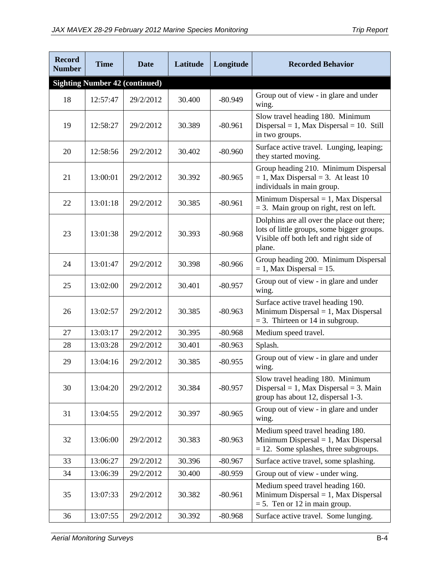| <b>Record</b><br><b>Number</b> | <b>Time</b> | <b>Date</b>                           | Latitude | Longitude | <b>Recorded Behavior</b>                                                                                                                      |
|--------------------------------|-------------|---------------------------------------|----------|-----------|-----------------------------------------------------------------------------------------------------------------------------------------------|
|                                |             | <b>Sighting Number 42 (continued)</b> |          |           |                                                                                                                                               |
| 18                             | 12:57:47    | 29/2/2012                             | 30.400   | $-80.949$ | Group out of view - in glare and under<br>wing.                                                                                               |
| 19                             | 12:58:27    | 29/2/2012                             | 30.389   | $-80.961$ | Slow travel heading 180. Minimum<br>Dispersal = 1, Max Dispersal = 10. Still<br>in two groups.                                                |
| 20                             | 12:58:56    | 29/2/2012                             | 30.402   | $-80.960$ | Surface active travel. Lunging, leaping;<br>they started moving.                                                                              |
| 21                             | 13:00:01    | 29/2/2012                             | 30.392   | $-80.965$ | Group heading 210. Minimum Dispersal<br>$= 1$ , Max Dispersal = 3. At least 10<br>individuals in main group.                                  |
| 22                             | 13:01:18    | 29/2/2012                             | 30.385   | $-80.961$ | Minimum Dispersal $= 1$ , Max Dispersal<br>$=$ 3. Main group on right, rest on left.                                                          |
| 23                             | 13:01:38    | 29/2/2012                             | 30.393   | $-80.968$ | Dolphins are all over the place out there;<br>lots of little groups, some bigger groups.<br>Visible off both left and right side of<br>plane. |
| 24                             | 13:01:47    | 29/2/2012                             | 30.398   | $-80.966$ | Group heading 200. Minimum Dispersal<br>$= 1$ , Max Dispersal $= 15$ .                                                                        |
| 25                             | 13:02:00    | 29/2/2012                             | 30.401   | $-80.957$ | Group out of view - in glare and under<br>wing.                                                                                               |
| 26                             | 13:02:57    | 29/2/2012                             | 30.385   | $-80.963$ | Surface active travel heading 190.<br>Minimum Dispersal $= 1$ , Max Dispersal<br>$=$ 3. Thirteen or 14 in subgroup.                           |
| 27                             | 13:03:17    | 29/2/2012                             | 30.395   | $-80.968$ | Medium speed travel.                                                                                                                          |
| 28                             | 13:03:28    | 29/2/2012                             | 30.401   | $-80.963$ | Splash.                                                                                                                                       |
| 29                             | 13:04:16    | 29/2/2012                             | 30.385   | $-80.955$ | Group out of view - in glare and under<br>wing.                                                                                               |
| 30                             | 13:04:20    | 29/2/2012                             | 30.384   | $-80.957$ | Slow travel heading 180. Minimum<br>Dispersal = 1, Max Dispersal = 3. Main<br>group has about 12, dispersal 1-3.                              |
| 31                             | 13:04:55    | 29/2/2012                             | 30.397   | $-80.965$ | Group out of view - in glare and under<br>wing.                                                                                               |
| 32                             | 13:06:00    | 29/2/2012                             | 30.383   | $-80.963$ | Medium speed travel heading 180.<br>Minimum Dispersal $= 1$ , Max Dispersal<br>$= 12$ . Some splashes, three subgroups.                       |
| 33                             | 13:06:27    | 29/2/2012                             | 30.396   | $-80.967$ | Surface active travel, some splashing.                                                                                                        |
| 34                             | 13:06:39    | 29/2/2012                             | 30.400   | $-80.959$ | Group out of view - under wing.                                                                                                               |
| 35                             | 13:07:33    | 29/2/2012                             | 30.382   | $-80.961$ | Medium speed travel heading 160.<br>Minimum Dispersal $= 1$ , Max Dispersal<br>$= 5$ . Ten or 12 in main group.                               |
| 36                             | 13:07:55    | 29/2/2012                             | 30.392   | $-80.968$ | Surface active travel. Some lunging.                                                                                                          |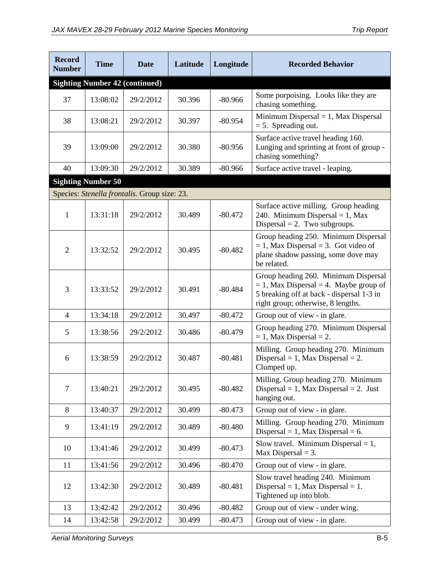| <b>Record</b><br><b>Number</b>        | <b>Time</b>               | Date                                         | Latitude | Longitude | <b>Recorded Behavior</b>                                                                                                                                                |  |  |  |
|---------------------------------------|---------------------------|----------------------------------------------|----------|-----------|-------------------------------------------------------------------------------------------------------------------------------------------------------------------------|--|--|--|
| <b>Sighting Number 42 (continued)</b> |                           |                                              |          |           |                                                                                                                                                                         |  |  |  |
| 37                                    | 13:08:02                  | 29/2/2012                                    | 30.396   | $-80.966$ | Some porpoising. Looks like they are<br>chasing something.                                                                                                              |  |  |  |
| 38                                    | 13:08:21                  | 29/2/2012                                    | 30.397   | $-80.954$ | Minimum Dispersal $= 1$ , Max Dispersal<br>$= 5.$ Spreading out.                                                                                                        |  |  |  |
| 39                                    | 13:09:00                  | 29/2/2012                                    | 30.380   | $-80.956$ | Surface active travel heading 160.<br>Lunging and sprinting at front of group -<br>chasing something?                                                                   |  |  |  |
| 40                                    | 13:09:30                  | 29/2/2012                                    | 30.389   | $-80.966$ | Surface active travel - leaping.                                                                                                                                        |  |  |  |
|                                       | <b>Sighting Number 50</b> |                                              |          |           |                                                                                                                                                                         |  |  |  |
|                                       |                           | Species: Stenella frontalis. Group size: 23. |          |           |                                                                                                                                                                         |  |  |  |
| 1                                     | 13:31:18                  | 29/2/2012                                    | 30.489   | $-80.472$ | Surface active milling. Group heading<br>240. Minimum Dispersal = 1, Max<br>Dispersal $= 2$ . Two subgroups.                                                            |  |  |  |
| $\overline{2}$                        | 13:32:52                  | 29/2/2012                                    | 30.495   | $-80.482$ | Group heading 250. Minimum Dispersal<br>$= 1$ , Max Dispersal = 3. Got video of<br>plane shadow passing, some dove may<br>be related.                                   |  |  |  |
| 3                                     | 13:33:52                  | 29/2/2012                                    | 30.491   | $-80.484$ | Group heading 260. Minimum Dispersal<br>$= 1$ , Max Dispersal $= 4$ . Maybe group of<br>5 breaking off at back - dispersal 1-3 in<br>right group; otherwise, 8 lengths. |  |  |  |
| $\overline{4}$                        | 13:34:18                  | 29/2/2012                                    | 30.497   | $-80.472$ | Group out of view - in glare.                                                                                                                                           |  |  |  |
| 5                                     | 13:38:56                  | 29/2/2012                                    | 30.486   | $-80.479$ | Group heading 270. Minimum Dispersal<br>$= 1$ , Max Dispersal $= 2$ .                                                                                                   |  |  |  |
| 6                                     | 13:38:59                  | 29/2/2012                                    | 30.487   | $-80.481$ | Milling. Group heading 270. Minimum<br>Dispersal = 1, Max Dispersal = 2.<br>Clumped up.                                                                                 |  |  |  |
| $\tau$                                | 13:40:21                  | 29/2/2012                                    | 30.495   | $-80.482$ | Milling. Group heading 270. Minimum<br>Dispersal = 1, Max Dispersal = 2. Just<br>hanging out.                                                                           |  |  |  |
| 8                                     | 13:40:37                  | 29/2/2012                                    | 30.499   | $-80.473$ | Group out of view - in glare.                                                                                                                                           |  |  |  |
| 9                                     | 13:41:19                  | 29/2/2012                                    | 30.489   | $-80.480$ | Milling. Group heading 270. Minimum<br>Dispersal = 1, Max Dispersal = 6.                                                                                                |  |  |  |
| 10                                    | 13:41:46                  | 29/2/2012                                    | 30.499   | $-80.473$ | Slow travel. Minimum Dispersal = $1$ ,<br>Max Dispersal $=$ 3.                                                                                                          |  |  |  |
| 11                                    | 13:41:56                  | 29/2/2012                                    | 30.496   | $-80.470$ | Group out of view - in glare.                                                                                                                                           |  |  |  |
| 12                                    | 13:42:30                  | 29/2/2012                                    | 30.489   | $-80.481$ | Slow travel heading 240. Minimum<br>Dispersal = 1, Max Dispersal = 1.<br>Tightened up into blob.                                                                        |  |  |  |
| 13                                    | 13:42:42                  | 29/2/2012                                    | 30.496   | $-80.482$ | Group out of view - under wing.                                                                                                                                         |  |  |  |
| 14                                    | 13:42:58                  | 29/2/2012                                    | 30.499   | $-80.473$ | Group out of view - in glare.                                                                                                                                           |  |  |  |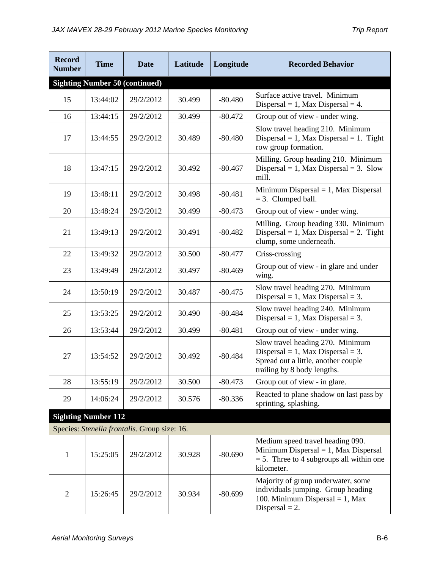| <b>Record</b><br><b>Number</b>               | <b>Time</b> | <b>Date</b> | Latitude | Longitude | <b>Recorded Behavior</b>                                                                                                                    |  |  |  |
|----------------------------------------------|-------------|-------------|----------|-----------|---------------------------------------------------------------------------------------------------------------------------------------------|--|--|--|
| <b>Sighting Number 50 (continued)</b>        |             |             |          |           |                                                                                                                                             |  |  |  |
| 15                                           | 13:44:02    | 29/2/2012   | 30.499   | $-80.480$ | Surface active travel. Minimum<br>Dispersal = 1, Max Dispersal = 4.                                                                         |  |  |  |
| 16                                           | 13:44:15    | 29/2/2012   | 30.499   | $-80.472$ | Group out of view - under wing.                                                                                                             |  |  |  |
| 17                                           | 13:44:55    | 29/2/2012   | 30.489   | $-80.480$ | Slow travel heading 210. Minimum<br>Dispersal = 1, Max Dispersal = 1. Tight<br>row group formation.                                         |  |  |  |
| 18                                           | 13:47:15    | 29/2/2012   | 30.492   | $-80.467$ | Milling. Group heading 210. Minimum<br>Dispersal = 1, Max Dispersal = 3. Slow<br>mill.                                                      |  |  |  |
| 19                                           | 13:48:11    | 29/2/2012   | 30.498   | $-80.481$ | Minimum Dispersal = $1$ , Max Dispersal<br>$=$ 3. Clumped ball.                                                                             |  |  |  |
| 20                                           | 13:48:24    | 29/2/2012   | 30.499   | $-80.473$ | Group out of view - under wing.                                                                                                             |  |  |  |
| 21                                           | 13:49:13    | 29/2/2012   | 30.491   | $-80.482$ | Milling. Group heading 330. Minimum<br>Dispersal = 1, Max Dispersal = 2. Tight<br>clump, some underneath.                                   |  |  |  |
| 22                                           | 13:49:32    | 29/2/2012   | 30.500   | $-80.477$ | Criss-crossing                                                                                                                              |  |  |  |
| 23                                           | 13:49:49    | 29/2/2012   | 30.497   | $-80.469$ | Group out of view - in glare and under<br>wing.                                                                                             |  |  |  |
| 24                                           | 13:50:19    | 29/2/2012   | 30.487   | $-80.475$ | Slow travel heading 270. Minimum<br>Dispersal = 1, Max Dispersal = 3.                                                                       |  |  |  |
| 25                                           | 13:53:25    | 29/2/2012   | 30.490   | $-80.484$ | Slow travel heading 240. Minimum<br>Dispersal = 1, Max Dispersal = 3.                                                                       |  |  |  |
| 26                                           | 13:53:44    | 29/2/2012   | 30.499   | $-80.481$ | Group out of view - under wing.                                                                                                             |  |  |  |
| 27                                           | 13:54:52    | 29/2/2012   | 30.492   | $-80.484$ | Slow travel heading 270. Minimum<br>Dispersal = 1, Max Dispersal = 3.<br>Spread out a little, another couple<br>trailing by 8 body lengths. |  |  |  |
| 28                                           | 13:55:19    | 29/2/2012   | 30.500   | $-80.473$ | Group out of view - in glare.                                                                                                               |  |  |  |
| 29                                           | 14:06:24    | 29/2/2012   | 30.576   | $-80.336$ | Reacted to plane shadow on last pass by<br>sprinting, splashing.                                                                            |  |  |  |
| <b>Sighting Number 112</b>                   |             |             |          |           |                                                                                                                                             |  |  |  |
| Species: Stenella frontalis. Group size: 16. |             |             |          |           |                                                                                                                                             |  |  |  |
| 1                                            | 15:25:05    | 29/2/2012   | 30.928   | $-80.690$ | Medium speed travel heading 090.<br>Minimum Dispersal $= 1$ , Max Dispersal<br>$=$ 5. Three to 4 subgroups all within one<br>kilometer.     |  |  |  |
| $\overline{2}$                               | 15:26:45    | 29/2/2012   | 30.934   | $-80.699$ | Majority of group underwater, some<br>individuals jumping. Group heading<br>100. Minimum Dispersal = $1$ , Max<br>Dispersal $= 2$ .         |  |  |  |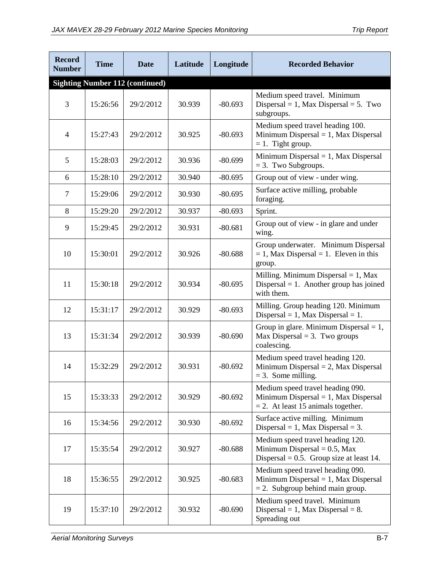| <b>Record</b><br><b>Number</b> | <b>Time</b> | <b>Date</b>                            | Latitude | Longitude | <b>Recorded Behavior</b>                                                                                             |
|--------------------------------|-------------|----------------------------------------|----------|-----------|----------------------------------------------------------------------------------------------------------------------|
|                                |             | <b>Sighting Number 112 (continued)</b> |          |           |                                                                                                                      |
| 3                              | 15:26:56    | 29/2/2012                              | 30.939   | $-80.693$ | Medium speed travel. Minimum<br>Dispersal = 1, Max Dispersal = 5. Two<br>subgroups.                                  |
| $\overline{4}$                 | 15:27:43    | 29/2/2012                              | 30.925   | $-80.693$ | Medium speed travel heading 100.<br>Minimum Dispersal $= 1$ , Max Dispersal<br>$= 1$ . Tight group.                  |
| 5                              | 15:28:03    | 29/2/2012                              | 30.936   | $-80.699$ | Minimum Dispersal $= 1$ , Max Dispersal<br>$=$ 3. Two Subgroups.                                                     |
| 6                              | 15:28:10    | 29/2/2012                              | 30.940   | $-80.695$ | Group out of view - under wing.                                                                                      |
| $\overline{7}$                 | 15:29:06    | 29/2/2012                              | 30.930   | $-80.695$ | Surface active milling, probable<br>foraging.                                                                        |
| 8                              | 15:29:20    | 29/2/2012                              | 30.937   | $-80.693$ | Sprint.                                                                                                              |
| 9                              | 15:29:45    | 29/2/2012                              | 30.931   | $-80.681$ | Group out of view - in glare and under<br>wing.                                                                      |
| 10                             | 15:30:01    | 29/2/2012                              | 30.926   | $-80.688$ | Group underwater. Minimum Dispersal<br>$= 1$ , Max Dispersal $= 1$ . Eleven in this<br>group.                        |
| 11                             | 15:30:18    | 29/2/2012                              | 30.934   | $-80.695$ | Milling. Minimum Dispersal $= 1$ , Max<br>Dispersal $= 1$ . Another group has joined<br>with them.                   |
| 12                             | 15:31:17    | 29/2/2012                              | 30.929   | $-80.693$ | Milling. Group heading 120. Minimum<br>Dispersal = 1, Max Dispersal = 1.                                             |
| 13                             | 15:31:34    | 29/2/2012                              | 30.939   | $-80.690$ | Group in glare. Minimum Dispersal $= 1$ ,<br>Max Dispersal = 3. Two groups<br>coalescing.                            |
| 14                             | 15:32:29    | 29/2/2012                              | 30.931   | $-80.692$ | Medium speed travel heading 120.<br>Minimum Dispersal $= 2$ , Max Dispersal<br>$=$ 3. Some milling.                  |
| 15                             | 15:33:33    | 29/2/2012                              | 30.929   | $-80.692$ | Medium speed travel heading 090.<br>Minimum Dispersal $= 1$ , Max Dispersal<br>$= 2$ . At least 15 animals together. |
| 16                             | 15:34:56    | 29/2/2012                              | 30.930   | $-80.692$ | Surface active milling. Minimum<br>Dispersal = 1, Max Dispersal = 3.                                                 |
| 17                             | 15:35:54    | 29/2/2012                              | 30.927   | $-80.688$ | Medium speed travel heading 120.<br>Minimum Dispersal = $0.5$ , Max<br>Dispersal = $0.5$ . Group size at least 14.   |
| 18                             | 15:36:55    | 29/2/2012                              | 30.925   | $-80.683$ | Medium speed travel heading 090.<br>Minimum Dispersal $= 1$ , Max Dispersal<br>$= 2$ . Subgroup behind main group.   |
| 19                             | 15:37:10    | 29/2/2012                              | 30.932   | $-80.690$ | Medium speed travel. Minimum<br>Dispersal = 1, Max Dispersal = $8$ .<br>Spreading out                                |